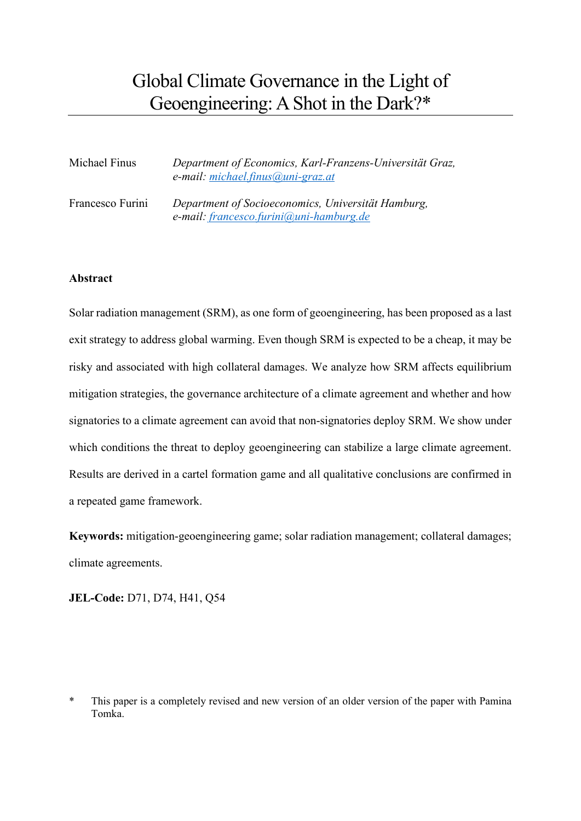# Global Climate Governance in the Light of Geoengineering: AShot in the Dark?\*

| Michael Finus    | Department of Economics, Karl-Franzens-Universität Graz,<br>e-mail: michael.finus@uni-graz.at |
|------------------|-----------------------------------------------------------------------------------------------|
| Francesco Furini | Department of Socioeconomics, Universität Hamburg,<br>e-mail: francesco.furini@uni-hamburg.de |

## **Abstract**

Solar radiation management (SRM), as one form of geoengineering, has been proposed as a last exit strategy to address global warming. Even though SRM is expected to be a cheap, it may be risky and associated with high collateral damages. We analyze how SRM affects equilibrium mitigation strategies, the governance architecture of a climate agreement and whether and how signatories to a climate agreement can avoid that non-signatories deploy SRM. We show under which conditions the threat to deploy geoengineering can stabilize a large climate agreement. Results are derived in a cartel formation game and all qualitative conclusions are confirmed in a repeated game framework.

**Keywords:** mitigation-geoengineering game; solar radiation management; collateral damages; climate agreements.

**JEL-Code:** D71, D74, H41, Q54

<span id="page-0-0"></span><sup>\*</sup> This paper is a completely revised and new version of an older version of the paper with Pamina Tomka.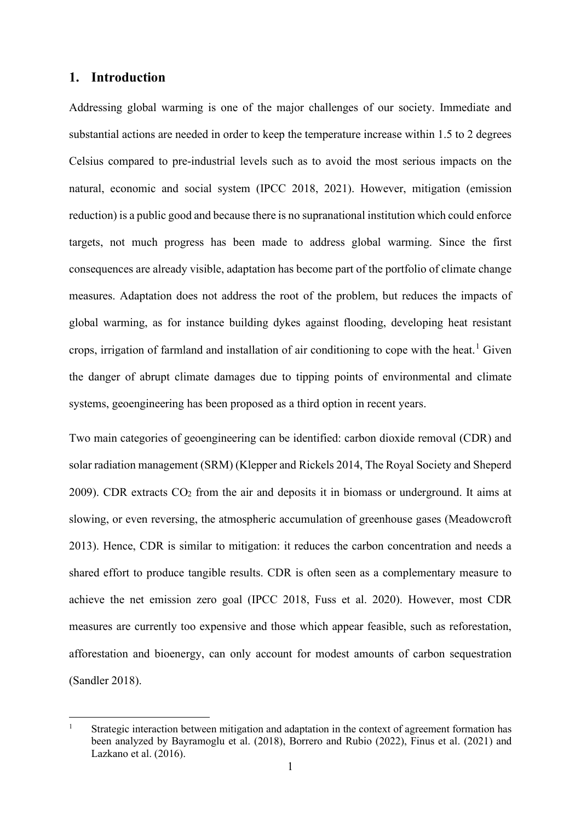## **1. Introduction**

Addressing global warming is one of the major challenges of our society. Immediate and substantial actions are needed in order to keep the temperature increase within 1.5 to 2 degrees Celsius compared to pre-industrial levels such as to avoid the most serious impacts on the natural, economic and social system (IPCC 2018, 2021). However, mitigation (emission reduction) is a public good and because there is no supranational institution which could enforce targets, not much progress has been made to address global warming. Since the first consequences are already visible, adaptation has become part of the portfolio of climate change measures. Adaptation does not address the root of the problem, but reduces the impacts of global warming, as for instance building dykes against flooding, developing heat resistant crops, irrigation of farmland and installation of air conditioning to cope with the heat.<sup>[1](#page-0-0)</sup> Given the danger of abrupt climate damages due to tipping points of environmental and climate systems, geoengineering has been proposed as a third option in recent years.

Two main categories of geoengineering can be identified: carbon dioxide removal (CDR) and solar radiation management (SRM) (Klepper and Rickels 2014, The Royal Society and Sheperd 2009). CDR extracts  $CO<sub>2</sub>$  from the air and deposits it in biomass or underground. It aims at slowing, or even reversing, the atmospheric accumulation of greenhouse gases (Meadowcroft 2013). Hence, CDR is similar to mitigation: it reduces the carbon concentration and needs a shared effort to produce tangible results. CDR is often seen as a complementary measure to achieve the net emission zero goal (IPCC 2018, Fuss et al. 2020). However, most CDR measures are currently too expensive and those which appear feasible, such as reforestation, afforestation and bioenergy, can only account for modest amounts of carbon sequestration (Sandler 2018).

<sup>&</sup>lt;sup>1</sup> Strategic interaction between mitigation and adaptation in the context of agreement formation has been analyzed by Bayramoglu et al. (2018), Borrero and Rubio (2022), Finus et al. (2021) and Lazkano et al. (2016).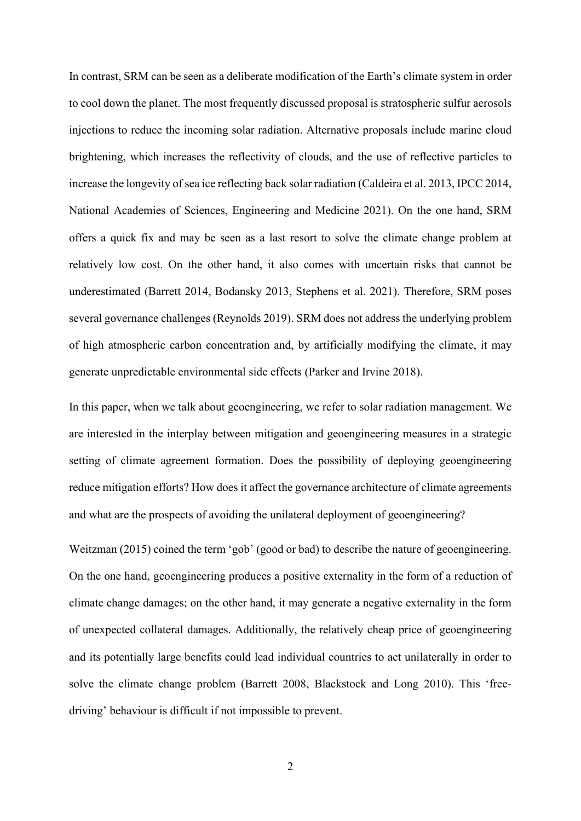In contrast, SRM can be seen as a deliberate modification of the Earth's climate system in order to cool down the planet. The most frequently discussed proposal is stratospheric sulfur aerosols injections to reduce the incoming solar radiation. Alternative proposals include marine cloud brightening, which increases the reflectivity of clouds, and the use of reflective particles to increase the longevity of sea ice reflecting back solar radiation (Caldeira et al. 2013, IPCC 2014, National Academies of Sciences, Engineering and Medicine 2021). On the one hand, SRM offers a quick fix and may be seen as a last resort to solve the climate change problem at relatively low cost. On the other hand, it also comes with uncertain risks that cannot be underestimated (Barrett 2014, Bodansky 2013, Stephens et al. 2021). Therefore, SRM poses several governance challenges (Reynolds 2019). SRM does not address the underlying problem of high atmospheric carbon concentration and, by artificially modifying the climate, it may generate unpredictable environmental side effects (Parker and Irvine 2018).

In this paper, when we talk about geoengineering, we refer to solar radiation management. We are interested in the interplay between mitigation and geoengineering measures in a strategic setting of climate agreement formation. Does the possibility of deploying geoengineering reduce mitigation efforts? How does it affect the governance architecture of climate agreements and what are the prospects of avoiding the unilateral deployment of geoengineering?

Weitzman (2015) coined the term 'gob' (good or bad) to describe the nature of geoengineering. On the one hand, geoengineering produces a positive externality in the form of a reduction of climate change damages; on the other hand, it may generate a negative externality in the form of unexpected collateral damages. Additionally, the relatively cheap price of geoengineering and its potentially large benefits could lead individual countries to act unilaterally in order to solve the climate change problem (Barrett 2008, Blackstock and Long 2010). This 'freedriving' behaviour is difficult if not impossible to prevent.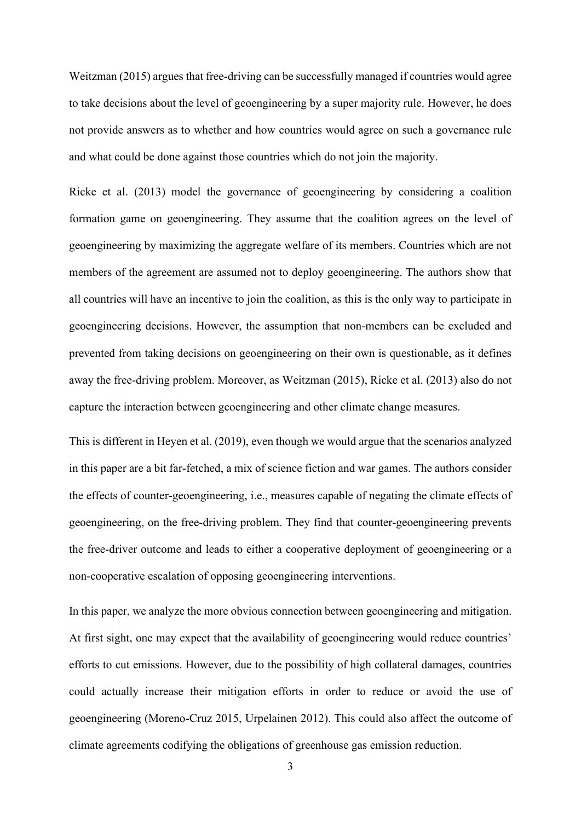Weitzman (2015) argues that free-driving can be successfully managed if countries would agree to take decisions about the level of geoengineering by a super majority rule. However, he does not provide answers as to whether and how countries would agree on such a governance rule and what could be done against those countries which do not join the majority.

Ricke et al. (2013) model the governance of geoengineering by considering a coalition formation game on geoengineering. They assume that the coalition agrees on the level of geoengineering by maximizing the aggregate welfare of its members. Countries which are not members of the agreement are assumed not to deploy geoengineering. The authors show that all countries will have an incentive to join the coalition, as this is the only way to participate in geoengineering decisions. However, the assumption that non-members can be excluded and prevented from taking decisions on geoengineering on their own is questionable, as it defines away the free-driving problem. Moreover, as Weitzman (2015), Ricke et al. (2013) also do not capture the interaction between geoengineering and other climate change measures.

This is different in Heyen et al. (2019), even though we would argue that the scenarios analyzed in this paper are a bit far-fetched, a mix of science fiction and war games. The authors consider the effects of counter-geoengineering, i.e., measures capable of negating the climate effects of geoengineering, on the free-driving problem. They find that counter-geoengineering prevents the free-driver outcome and leads to either a cooperative deployment of geoengineering or a non-cooperative escalation of opposing geoengineering interventions.

In this paper, we analyze the more obvious connection between geoengineering and mitigation. At first sight, one may expect that the availability of geoengineering would reduce countries' efforts to cut emissions. However, due to the possibility of high collateral damages, countries could actually increase their mitigation efforts in order to reduce or avoid the use of geoengineering (Moreno-Cruz 2015, Urpelainen 2012). This could also affect the outcome of climate agreements codifying the obligations of greenhouse gas emission reduction.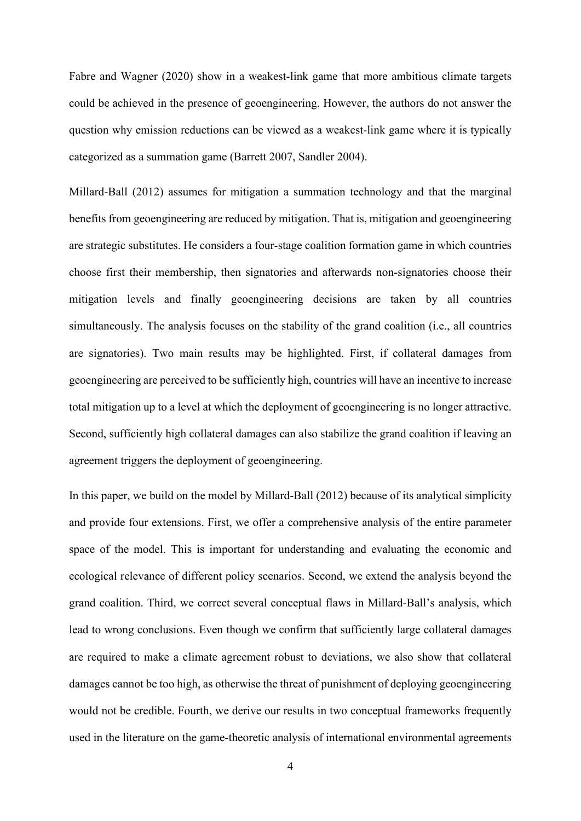Fabre and Wagner (2020) show in a weakest-link game that more ambitious climate targets could be achieved in the presence of geoengineering. However, the authors do not answer the question why emission reductions can be viewed as a weakest-link game where it is typically categorized as a summation game (Barrett 2007, Sandler 2004).

Millard-Ball (2012) assumes for mitigation a summation technology and that the marginal benefits from geoengineering are reduced by mitigation. That is, mitigation and geoengineering are strategic substitutes. He considers a four-stage coalition formation game in which countries choose first their membership, then signatories and afterwards non-signatories choose their mitigation levels and finally geoengineering decisions are taken by all countries simultaneously. The analysis focuses on the stability of the grand coalition (i.e., all countries are signatories). Two main results may be highlighted. First, if collateral damages from geoengineering are perceived to be sufficiently high, countries will have an incentive to increase total mitigation up to a level at which the deployment of geoengineering is no longer attractive. Second, sufficiently high collateral damages can also stabilize the grand coalition if leaving an agreement triggers the deployment of geoengineering.

In this paper, we build on the model by Millard-Ball (2012) because of its analytical simplicity and provide four extensions. First, we offer a comprehensive analysis of the entire parameter space of the model. This is important for understanding and evaluating the economic and ecological relevance of different policy scenarios. Second, we extend the analysis beyond the grand coalition. Third, we correct several conceptual flaws in Millard-Ball's analysis, which lead to wrong conclusions. Even though we confirm that sufficiently large collateral damages are required to make a climate agreement robust to deviations, we also show that collateral damages cannot be too high, as otherwise the threat of punishment of deploying geoengineering would not be credible. Fourth, we derive our results in two conceptual frameworks frequently used in the literature on the game-theoretic analysis of international environmental agreements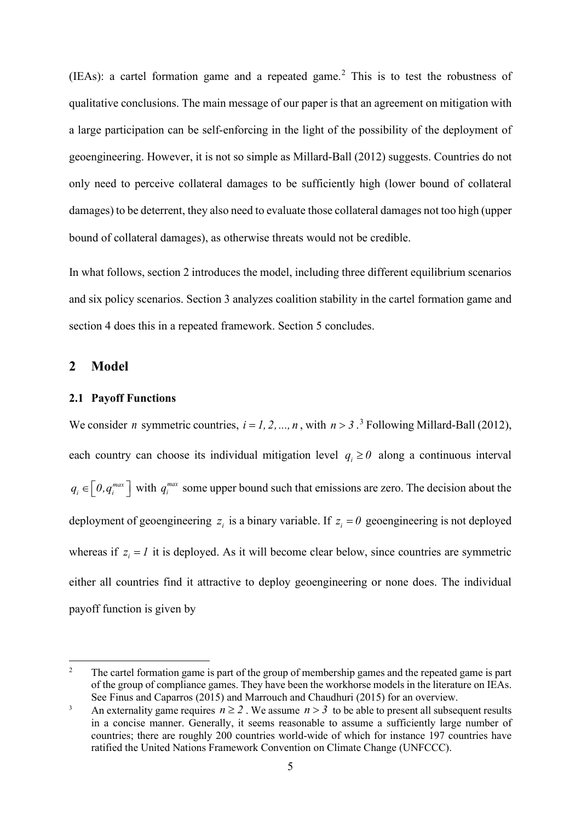(IEAs): a cartel formation game and a repeated game.<sup>[2](#page-5-0)</sup> This is to test the robustness of qualitative conclusions. The main message of our paper is that an agreement on mitigation with a large participation can be self-enforcing in the light of the possibility of the deployment of geoengineering. However, it is not so simple as Millard-Ball (2012) suggests. Countries do not only need to perceive collateral damages to be sufficiently high (lower bound of collateral damages) to be deterrent, they also need to evaluate those collateral damages not too high (upper bound of collateral damages), as otherwise threats would not be credible.

In what follows, section 2 introduces the model, including three different equilibrium scenarios and six policy scenarios. Section 3 analyzes coalition stability in the cartel formation game and section 4 does this in a repeated framework. Section 5 concludes.

## **2 Model**

#### **2.1 Payoff Functions**

We consider *n* symmetric countries,  $i = 1, 2, ..., n$ , with  $n > 3$  $n > 3$ .<sup>3</sup> Following Millard-Ball (2012), each country can choose its individual mitigation level  $q_i \ge 0$  along a continuous interval  $q_i \in [0, q_i^{max}]$  with  $q_i^{max}$  some upper bound such that emissions are zero. The decision about the deployment of geoengineering  $z_i$  is a binary variable. If  $z_i = 0$  geoengineering is not deployed whereas if  $z_i = I$  it is deployed. As it will become clear below, since countries are symmetric either all countries find it attractive to deploy geoengineering or none does. The individual payoff function is given by

<span id="page-5-0"></span><sup>&</sup>lt;sup>2</sup> The cartel formation game is part of the group of membership games and the repeated game is part of the group of compliance games. They have been the workhorse models in the literature on IEAs. See Finus and Caparros (2015) and Marrouch and Chaudhuri (2015) for an overview.

<span id="page-5-1"></span><sup>&</sup>lt;sup>3</sup> An externality game requires  $n \ge 2$ . We assume  $n > 3$  to be able to present all subsequent results in a concise manner. Generally, it seems reasonable to assume a sufficiently large number of countries; there are roughly 200 countries world-wide of which for instance 197 countries have ratified the United Nations Framework Convention on Climate Change (UNFCCC).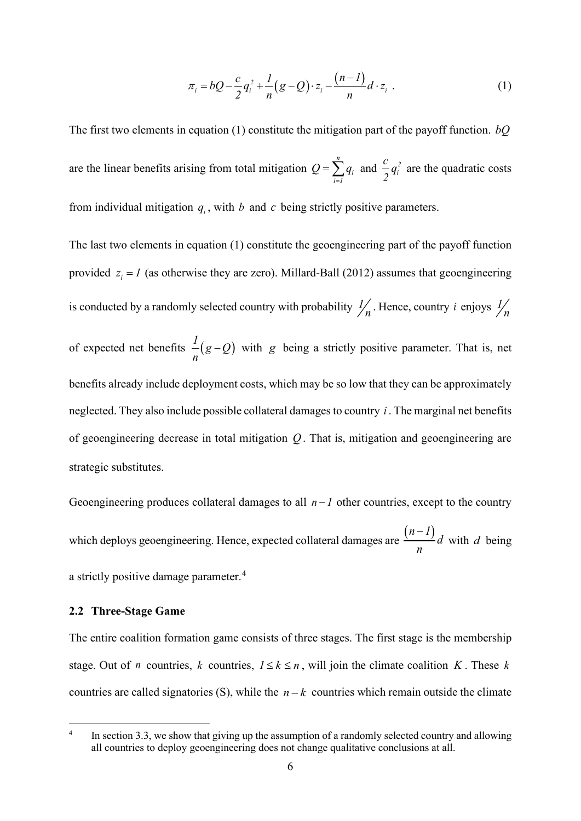$$
\pi_i = bQ - \frac{c}{2}q_i^2 + \frac{1}{n}(g - Q) \cdot z_i - \frac{(n-1)}{n}d \cdot z_i \tag{1}
$$

The first two elements in equation (1) constitute the mitigation part of the payoff function. *bQ* are the linear benefits arising from total mitigation *n i i 1*  $Q = \sum q$  $=\sum_{i=1}^{l} q_i$  and  $\frac{c}{2}q_i^2$ *c q 2* are the quadratic costs from individual mitigation  $q_i$ , with  $b$  and  $c$  being strictly positive parameters.

The last two elements in equation (1) constitute the geoengineering part of the payoff function provided  $z_i = I$  (as otherwise they are zero). Millard-Ball (2012) assumes that geoengineering is conducted by a randomly selected country with probability  $\frac{1}{n}$ . Hence, country *i* enjoys  $\frac{1}{n}$ of expected net benefits  $\frac{1}{n}(g-Q)$  with *g* being a strictly positive parameter. That is, net benefits already include deployment costs, which may be so low that they can be approximately neglected. They also include possible collateral damages to country *i* . The marginal net benefits of geoengineering decrease in total mitigation *Q* . That is, mitigation and geoengineering are strategic substitutes.

Geoengineering produces collateral damages to all  $n - 1$  other countries, except to the country which deploys geoengineering. Hence, expected collateral damages are  $\frac{(n-1)}{d}$  *d n*  $\frac{-I}{d}$  with *d* being a strictly positive damage parameter.<sup>[4](#page-6-0)</sup>

#### **2.2 Three-Stage Game**

The entire coalition formation game consists of three stages. The first stage is the membership stage. Out of *n* countries, *k* countries,  $1 \le k \le n$ , will join the climate coalition *K*. These *k* countries are called signatories (S), while the  $n-k$  countries which remain outside the climate

<span id="page-6-0"></span> $4$  In section 3.3, we show that giving up the assumption of a randomly selected country and allowing all countries to deploy geoengineering does not change qualitative conclusions at all.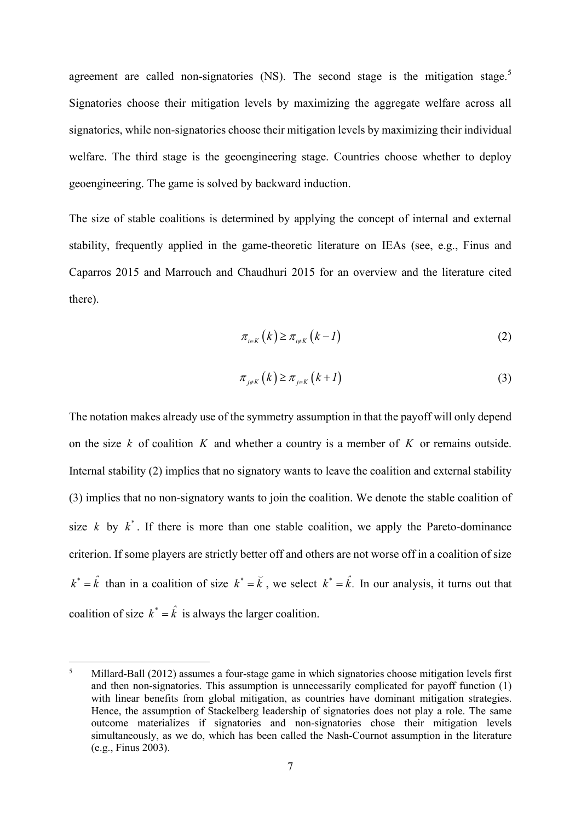agreement are called non-signatories (NS). The second stage is the mitigation stage.<sup>[5](#page-7-0)</sup> Signatories choose their mitigation levels by maximizing the aggregate welfare across all signatories, while non-signatories choose their mitigation levels by maximizing their individual welfare. The third stage is the geoengineering stage. Countries choose whether to deploy geoengineering. The game is solved by backward induction.

The size of stable coalitions is determined by applying the concept of internal and external stability, frequently applied in the game-theoretic literature on IEAs (see, e.g., Finus and Caparros 2015 and Marrouch and Chaudhuri 2015 for an overview and the literature cited there).

$$
\pi_{i\in K}\left(k\right) \geq \pi_{i\notin K}\left(k-l\right) \tag{2}
$$

$$
\pi_{j \notin K}(k) \ge \pi_{j \in K}(k+1) \tag{3}
$$

The notation makes already use of the symmetry assumption in that the payoff will only depend on the size *k* of coalition *K* and whether a country is a member of *K* or remains outside. Internal stability (2) implies that no signatory wants to leave the coalition and external stability (3) implies that no non-signatory wants to join the coalition. We denote the stable coalition of size *k* by  $k^*$ . If there is more than one stable coalition, we apply the Pareto-dominance criterion. If some players are strictly better off and others are not worse off in a coalition of size  $k^* = \hat{k}$  than in a coalition of size  $k^* = \breve{k}$ , we select  $k^* = \hat{k}$ . In our analysis, it turns out that coalition of size  $k^* = \hat{k}$  is always the larger coalition.

<span id="page-7-0"></span><sup>5</sup> Millard-Ball (2012) assumes a four-stage game in which signatories choose mitigation levels first and then non-signatories. This assumption is unnecessarily complicated for payoff function (1) with linear benefits from global mitigation, as countries have dominant mitigation strategies. Hence, the assumption of Stackelberg leadership of signatories does not play a role. The same outcome materializes if signatories and non-signatories chose their mitigation levels simultaneously, as we do, which has been called the Nash-Cournot assumption in the literature (e.g., Finus 2003).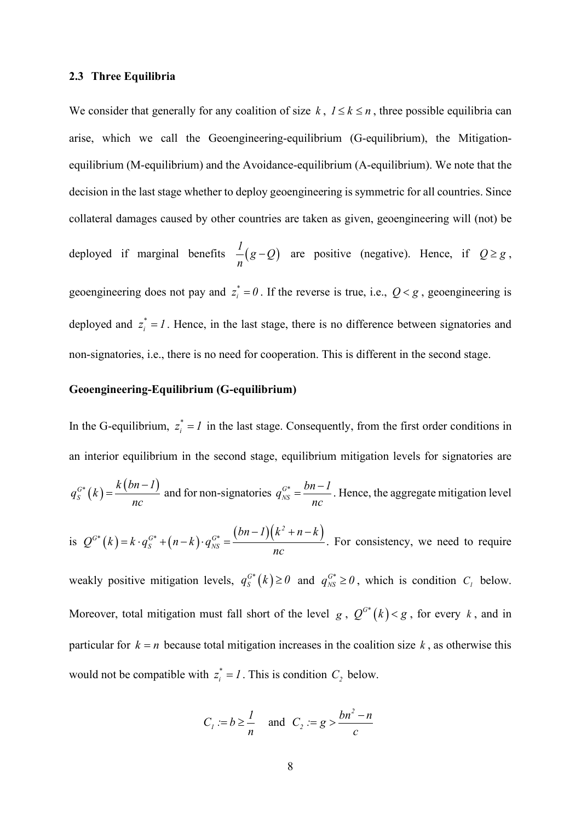#### **2.3 Three Equilibria**

We consider that generally for any coalition of size  $k$ ,  $1 \le k \le n$ , three possible equilibria can arise, which we call the Geoengineering-equilibrium (G-equilibrium), the Mitigationequilibrium (M-equilibrium) and the Avoidance-equilibrium (A-equilibrium). We note that the decision in the last stage whether to deploy geoengineering is symmetric for all countries. Since collateral damages caused by other countries are taken as given, geoengineering will (not) be deployed if marginal benefits  $\frac{1}{n}(g-Q)$  are positive (negative). Hence, if  $Q \ge g$ , geoengineering does not pay and  $z_i^* = 0$ . If the reverse is true, i.e.,  $Q < g$ , geoengineering is deployed and  $z_i^* = I$ . Hence, in the last stage, there is no difference between signatories and non-signatories, i.e., there is no need for cooperation. This is different in the second stage.

## **Geoengineering-Equilibrium (G-equilibrium)**

In the G-equilibrium,  $z_i^* = I$  in the last stage. Consequently, from the first order conditions in an interior equilibrium in the second stage, equilibrium mitigation levels for signatories are  $S_{S}^{G*}(k) = \frac{k(bn-1)}{n}$ *k bn 1*  $q_{\scriptscriptstyle S}^{\scriptscriptstyle G^*}$  (  $k$ *nc*  $=\frac{k(bn-1)}{nS}$  and for non-signatories  $q_{NS}^{G*}$  $q_{NS}^{G^*} = \frac{bn - 1}{2}$ *nc*  $=\frac{bn-1}{n}$ . Hence, the aggregate mitigation level is  $Q^{G*}(k) = k \cdot q_S^{G*} + (n-k) \cdot q_{NS}^{G*} = \frac{(bn-1)(k^2 + n - k)}{2}$  $S \left( \mu \alpha \right)$  *NS*  $bn - 1$  $(k<sup>2</sup> + n - k$  $Q^{G^*}(k) = k \cdot q_S^{G^*} + (n-k) \cdot q$ *nc*  $-I$ ) $(k^2 + n = k \cdot q_S^{G^*} + (n-k) \cdot q_{NS}^{G^*} = \frac{(n-k) \cdot (n-k) \cdot (n-k)}{k!}$ . For consistency, we need to require weakly positive mitigation levels,  $q_S^{G^*}(k) \ge 0$  and  $q_{NS}^{G^*} \ge 0$ , which is condition  $C_I$  below. Moreover, total mitigation must fall short of the level *g*,  $Q^{G*}(k) < g$ , for every *k*, and in particular for  $k = n$  because total mitigation increases in the coalition size k, as otherwise this

would not be compatible with  $z_i^* = I$ . This is condition  $C_2$  below.

$$
C_1 := b \ge \frac{1}{n} \quad \text{and} \quad C_2 := g > \frac{bn^2 - n}{c}
$$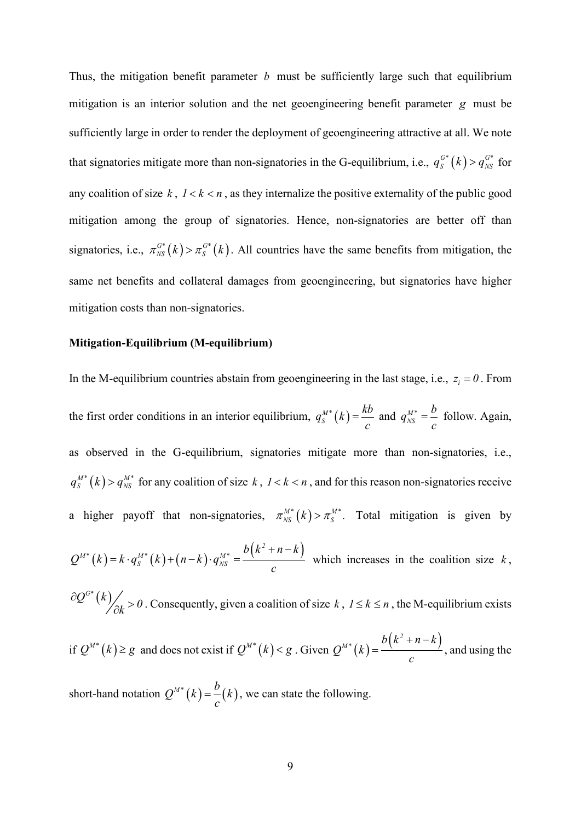Thus, the mitigation benefit parameter *b* must be sufficiently large such that equilibrium mitigation is an interior solution and the net geoengineering benefit parameter *g* must be sufficiently large in order to render the deployment of geoengineering attractive at all. We note that signatories mitigate more than non-signatories in the G-equilibrium, i.e.,  $q_S^{G^*}(k) > q_{NS}^{G^*}$  for any coalition of size  $k$ ,  $1 < k < n$ , as they internalize the positive externality of the public good mitigation among the group of signatories. Hence, non-signatories are better off than signatories, i.e.,  $\pi_{NS}^{G^*}(k) > \pi_S^{G^*}(k)$ . All countries have the same benefits from mitigation, the same net benefits and collateral damages from geoengineering, but signatories have higher mitigation costs than non-signatories.

#### **Mitigation-Equilibrium (M-equilibrium)**

In the M-equilibrium countries abstain from geoengineering in the last stage, i.e.,  $z_i = 0$ . From the first order conditions in an interior equilibrium,  $q_s^{M*}(k) = \frac{kb}{c}$  and  $q_{NS}^{M*}$  $q_{NS}^{M*} = \frac{b}{c}$  follow. Again, as observed in the G-equilibrium, signatories mitigate more than non-signatories, i.e.,  $q_S^{M*}(k) > q_{NS}^{M*}$  for any coalition of size  $k$ ,  $1 < k < n$ , and for this reason non-signatories receive a higher payoff that non-signatories,  $\pi^{M*}_{NS}(k) > \pi^{M*}_{S}$ . Total mitigation is given by

$$
Q^{M^*}(k) = k \cdot q_S^{M^*}(k) + (n-k) \cdot q_{NS}^{M^*} = \frac{b(k^2+n-k)}{c}
$$
 which increases in the coalition size k,

 $\partial Q^{G^*}(k)$  > 0. Consequently, given a coalition of size k,  $1 \le k \le n$ , the M-equilibrium exists

if 
$$
Q^{M*}(k) \ge g
$$
 and does not exist if  $Q^{M*}(k) < g$ . Given  $Q^{M*}(k) = \frac{b(k^2 + n - k)}{c}$ , and using the

short-hand notation  $Q^{M*}(k) = \frac{b}{c}(k)$ , we can state the following.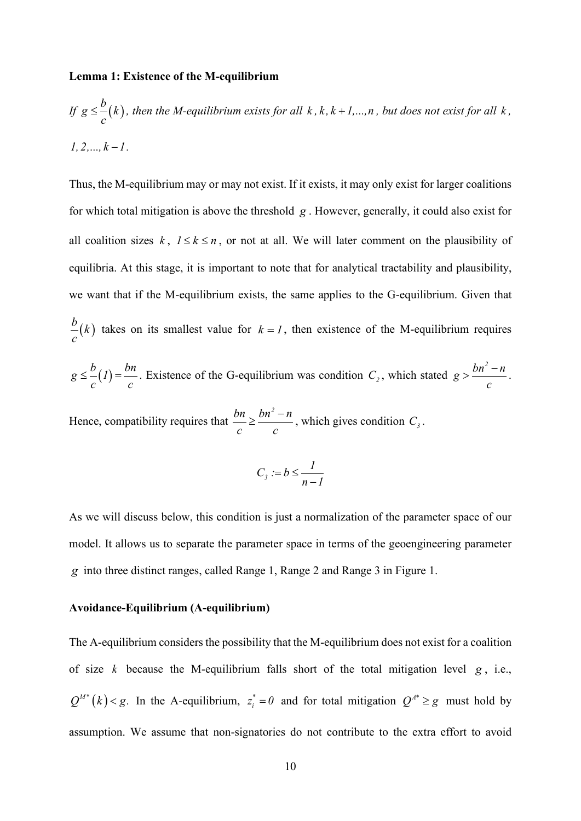#### **Lemma 1: Existence of the M-equilibrium**

If 
$$
g \leq \frac{b}{c}(k)
$$
, then the M-equilibrium exists for all  $k, k, k+1,...,n$ , but does not exist for all  $k$ ,  
1, 2,...,  $k-1$ .

Thus, the M-equilibrium may or may not exist. If it exists, it may only exist for larger coalitions for which total mitigation is above the threshold *g* . However, generally, it could also exist for all coalition sizes  $k$ ,  $1 \le k \le n$ , or not at all. We will later comment on the plausibility of equilibria. At this stage, it is important to note that for analytical tractability and plausibility, we want that if the M-equilibrium exists, the same applies to the G-equilibrium. Given that  $\frac{b}{-(k)}$ *c* takes on its smallest value for  $k = 1$ , then existence of the M-equilibrium requires

$$
g \leq \frac{b}{c}(1) = \frac{bn}{c}
$$
. Existence of the G-equilibrium was condition  $C_2$ , which stated  $g > \frac{bn^2 - n}{c}$ .

Hence, compatibility requires that  $\frac{bn}{m} \geq \frac{bn^2 - n}{m}$  $\frac{bn}{c} \ge \frac{bn^2 - n}{c}$ , which gives condition  $C_3$ .

$$
C_3 := b \le \frac{l}{n-l}
$$

As we will discuss below, this condition is just a normalization of the parameter space of our model. It allows us to separate the parameter space in terms of the geoengineering parameter *g* into three distinct ranges, called Range 1, Range 2 and Range 3 in Figure 1.

#### **Avoidance-Equilibrium (A-equilibrium)**

The A-equilibrium considers the possibility that the M-equilibrium does not exist for a coalition of size  $k$  because the M-equilibrium falls short of the total mitigation level  $g$ , i.e.,  $Q^{M*}(k) < g$ . In the A-equilibrium,  $z_i^* = 0$  and for total mitigation  $Q^{A*} \ge g$  must hold by assumption. We assume that non-signatories do not contribute to the extra effort to avoid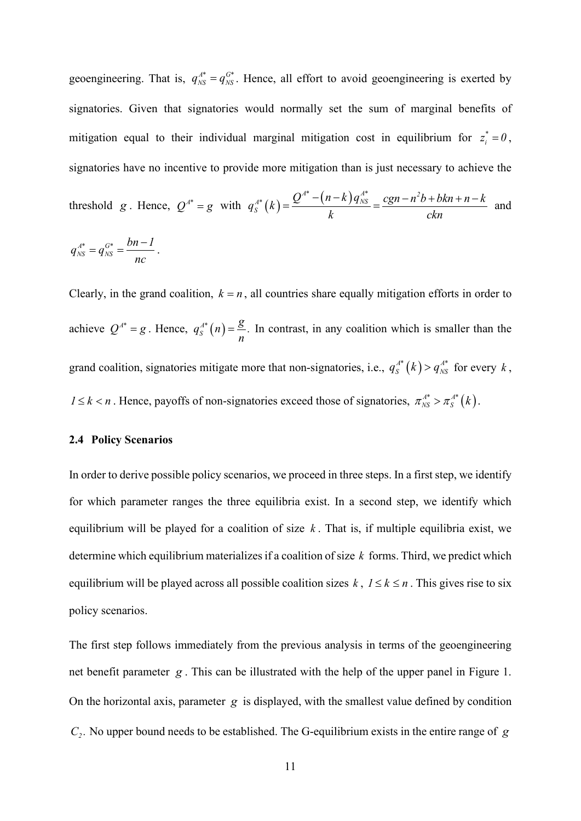geoengineering. That is,  $q_{NS}^{A^*} = q_{NS}^{G^*}$ . Hence, all effort to avoid geoengineering is exerted by signatories. Given that signatories would normally set the sum of marginal benefits of mitigation equal to their individual marginal mitigation cost in equilibrium for  $z_i^* = 0$ , signatories have no incentive to provide more mitigation than is just necessary to achieve the

threshold g. Hence, 
$$
Q^{A^*} = g
$$
 with  $q_s^{A^*}(k) = \frac{Q^{A^*} - (n-k)q_{NS}^{A^*}}{k} = \frac{cgn - n^2b + bkn + n - k}{ckn}$  and

$$
q_{NS}^{A^*}=q_{NS}^{G^*}=\frac{bn-l}{nc}.
$$

Clearly, in the grand coalition,  $k = n$ , all countries share equally mitigation efforts in order to achieve  $Q^{A^*} = g$ . Hence,  $q_S^{A^*}(n) = \frac{g}{n}$ . In contrast, in any coalition which is smaller than the grand coalition, signatories mitigate more that non-signatories, i.e.,  $q_s^{A*}(k) > q_{NS}^{A*}$  for every k,  $1 \le k < n$ . Hence, payoffs of non-signatories exceed those of signatories,  $\pi_{NS}^{A^*} > \pi_S^{A^*}(k)$ .

#### **2.4 Policy Scenarios**

In order to derive possible policy scenarios, we proceed in three steps. In a first step, we identify for which parameter ranges the three equilibria exist. In a second step, we identify which equilibrium will be played for a coalition of size  $k$ . That is, if multiple equilibria exist, we determine which equilibrium materializes if a coalition of size *k* forms. Third, we predict which equilibrium will be played across all possible coalition sizes  $k$ ,  $1 \le k \le n$ . This gives rise to six policy scenarios.

The first step follows immediately from the previous analysis in terms of the geoengineering net benefit parameter *g* . This can be illustrated with the help of the upper panel in Figure 1. On the horizontal axis, parameter *g* is displayed, with the smallest value defined by condition *C*,. No upper bound needs to be established. The G-equilibrium exists in the entire range of *g*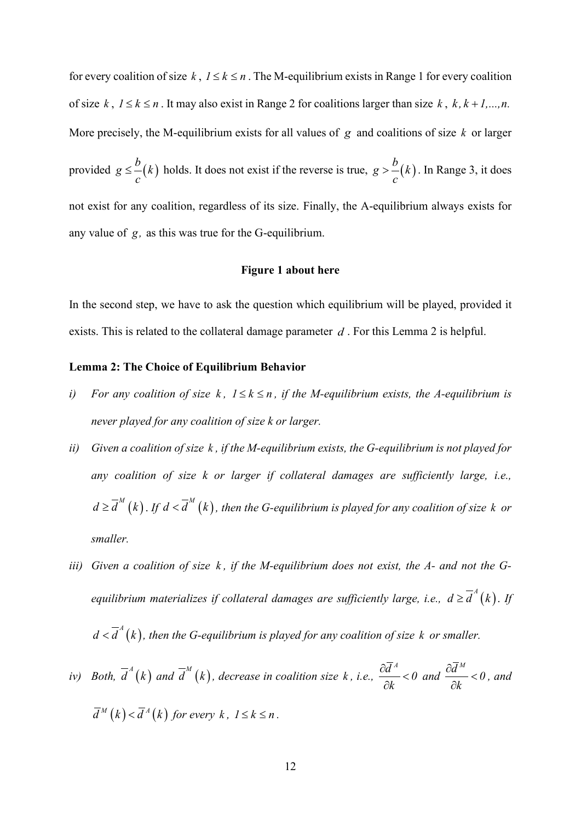for every coalition of size  $k, l \leq k \leq n$ . The M-equilibrium exists in Range 1 for every coalition of size  $k, 1 \le k \le n$ . It may also exist in Range 2 for coalitions larger than size  $k, k, k+1,...,n$ . More precisely, the M-equilibrium exists for all values of *g* and coalitions of size *k* or larger provided  $g \leq \frac{b}{k}$ *c* ≤  $\frac{b}{b}(k)$  holds. It does not exist if the reverse is true,  $g > b(k)$ *c*  $>$   $-(k)$ . In Range 3, it does not exist for any coalition, regardless of its size. Finally, the A-equilibrium always exists for any value of *g,* as this was true for the G-equilibrium.

#### **Figure 1 about here**

In the second step, we have to ask the question which equilibrium will be played, provided it exists. This is related to the collateral damage parameter *d* . For this Lemma 2 is helpful.

#### **Lemma 2: The Choice of Equilibrium Behavior**

- *i*) For any coalition of size k,  $1 \leq k \leq n$ , if the M-equilibrium exists, the A-equilibrium is *never played for any coalition of size k or larger.*
- *ii) Given a coalition of size k , if the M-equilibrium exists, the G-equilibrium is not played for any coalition of size k or larger if collateral damages are sufficiently large, i.e.,*   $d \geq \overline{d}^M(k)$  . If  $d < \overline{d}^M(k)$ , then the G-equilibrium is played for any coalition of size k or *smaller.*
- *iii) Given a coalition of size k , if the M-equilibrium does not exist, the A- and not the Gequilibrium materializes if collateral damages are sufficiently large, i.e.,*  $d \ge d^A(k)$ *. If*  $d < \overline{d}^A(k)$ , then the G-equilibrium is played for any coalition of size k or smaller.
- *iv*) *Both,*  $\overline{d}^A(k)$  *and*  $\overline{d}^M(k)$ *, decrease in coalition size* k, *i.e.*,  $\frac{\partial \overline{d}^A}{\partial t}$  < 0 *k*  $\frac{\partial d^A}{\partial t^A}$ ∂ *and*  $\frac{\partial \overline{d}^M}{\partial x^M} < 0$ *k*  $\frac{\partial d^M}{\partial k}$  < 0, and  $\overline{d}^M(k) < \overline{d}^A(k)$  for every k,  $1 \leq k \leq n$ .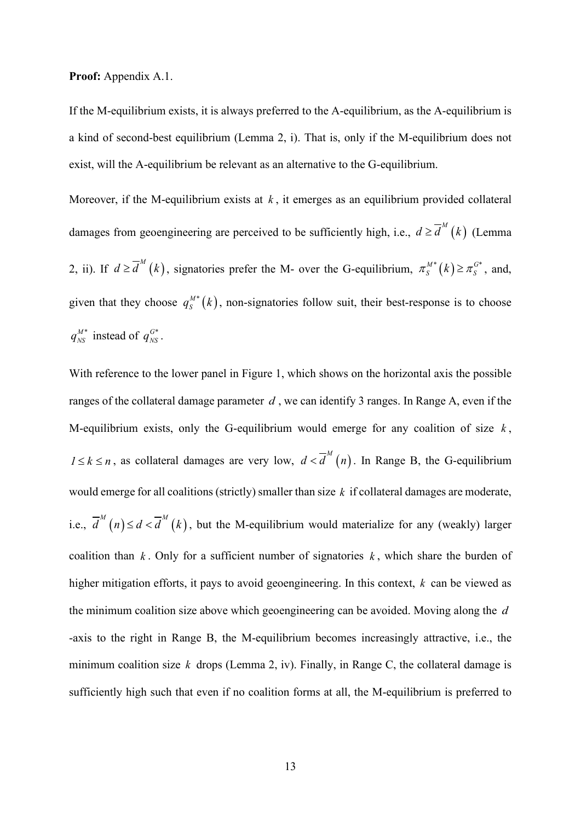**Proof:** Appendix A.1.

If the M-equilibrium exists, it is always preferred to the A-equilibrium, as the A-equilibrium is a kind of second-best equilibrium (Lemma 2, i). That is, only if the M-equilibrium does not exist, will the A-equilibrium be relevant as an alternative to the G-equilibrium.

Moreover, if the M-equilibrium exists at *k* , it emerges as an equilibrium provided collateral damages from geoengineering are perceived to be sufficiently high, i.e.,  $d \ge d^M(k)$  (Lemma 2, ii). If  $d \ge \overline{d}^M(k)$ , signatories prefer the M- over the G-equilibrium,  $\pi_S^{M*}(k) \ge \pi_S^{G*}$ , and, given that they choose  $q_s^{M*}(k)$ , non-signatories follow suit, their best-response is to choose  $q_{NS}^{M*}$  instead of  $q_{NS}^{G*}$ .

With reference to the lower panel in Figure 1, which shows on the horizontal axis the possible ranges of the collateral damage parameter *d* , we can identify 3 ranges. In Range A, even if the M-equilibrium exists, only the G-equilibrium would emerge for any coalition of size *k* , *1* ≤ *k* ≤ *n*, as collateral damages are very low,  $d < \overline{d}^M(n)$ . In Range B, the G-equilibrium would emerge for all coalitions (strictly) smaller than size *k* if collateral damages are moderate, i.e.,  $\overline{d}^M(n) \leq d < \overline{d}^M(k)$ , but the M-equilibrium would materialize for any (weakly) larger coalition than  $k$ . Only for a sufficient number of signatories  $k$ , which share the burden of higher mitigation efforts, it pays to avoid geoengineering. In this context, *k* can be viewed as the minimum coalition size above which geoengineering can be avoided. Moving along the *d* -axis to the right in Range B, the M-equilibrium becomes increasingly attractive, i.e., the minimum coalition size  $k$  drops (Lemma 2, iv). Finally, in Range C, the collateral damage is sufficiently high such that even if no coalition forms at all, the M-equilibrium is preferred to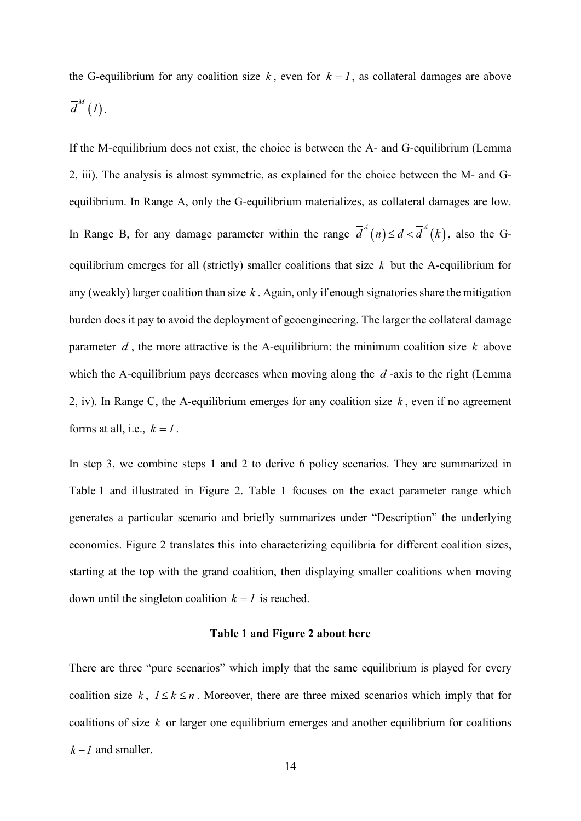the G-equilibrium for any coalition size k, even for  $k = 1$ , as collateral damages are above  $\overline{d}^M(I).$ 

If the M-equilibrium does not exist, the choice is between the A- and G-equilibrium (Lemma 2, iii). The analysis is almost symmetric, as explained for the choice between the M- and Gequilibrium. In Range A, only the G-equilibrium materializes, as collateral damages are low. In Range B, for any damage parameter within the range  $\overline{d}^A(n) \leq d < \overline{d}^A(k)$ , also the Gequilibrium emerges for all (strictly) smaller coalitions that size *k* but the A-equilibrium for any (weakly) larger coalition than size *k* . Again, only if enough signatories share the mitigation burden does it pay to avoid the deployment of geoengineering. The larger the collateral damage parameter *d* , the more attractive is the A-equilibrium: the minimum coalition size *k* above which the A-equilibrium pays decreases when moving along the *d* -axis to the right (Lemma 2, iv). In Range C, the A-equilibrium emerges for any coalition size *k* , even if no agreement forms at all, i.e.,  $k = 1$ .

In step 3, we combine steps 1 and 2 to derive 6 policy scenarios. They are summarized in Table 1 and illustrated in Figure 2. Table 1 focuses on the exact parameter range which generates a particular scenario and briefly summarizes under "Description" the underlying economics. Figure 2 translates this into characterizing equilibria for different coalition sizes, starting at the top with the grand coalition, then displaying smaller coalitions when moving down until the singleton coalition  $k = 1$  is reached.

## **Table 1 and Figure 2 about here**

There are three "pure scenarios" which imply that the same equilibrium is played for every coalition size  $k$ ,  $1 \le k \le n$ . Moreover, there are three mixed scenarios which imply that for coalitions of size *k* or larger one equilibrium emerges and another equilibrium for coalitions  $k - l$  and smaller.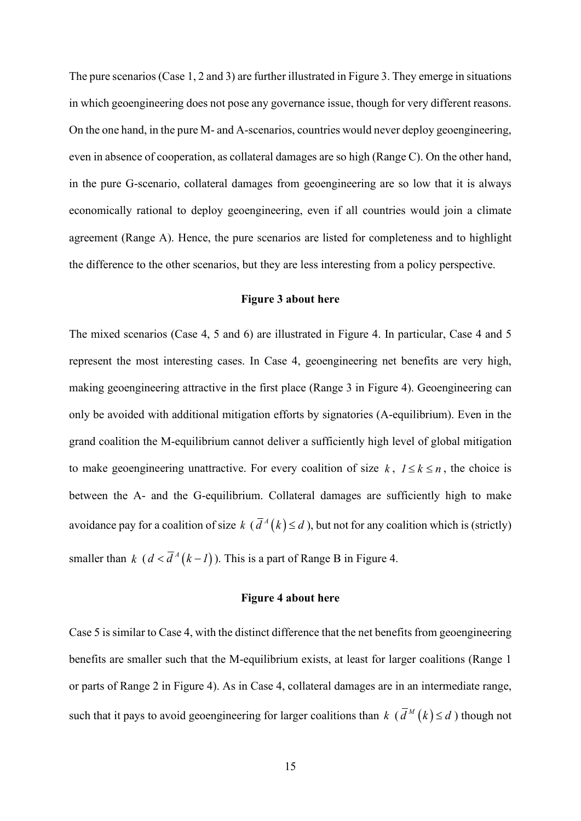The pure scenarios (Case 1, 2 and 3) are further illustrated in Figure 3. They emerge in situations in which geoengineering does not pose any governance issue, though for very different reasons. On the one hand, in the pure M- and A-scenarios, countries would never deploy geoengineering, even in absence of cooperation, as collateral damages are so high (Range C). On the other hand, in the pure G-scenario, collateral damages from geoengineering are so low that it is always economically rational to deploy geoengineering, even if all countries would join a climate agreement (Range A). Hence, the pure scenarios are listed for completeness and to highlight the difference to the other scenarios, but they are less interesting from a policy perspective.

## **Figure 3 about here**

The mixed scenarios (Case 4, 5 and 6) are illustrated in Figure 4. In particular, Case 4 and 5 represent the most interesting cases. In Case 4, geoengineering net benefits are very high, making geoengineering attractive in the first place (Range 3 in Figure 4). Geoengineering can only be avoided with additional mitigation efforts by signatories (A-equilibrium). Even in the grand coalition the M-equilibrium cannot deliver a sufficiently high level of global mitigation to make geoengineering unattractive. For every coalition of size  $k$ ,  $1 \le k \le n$ , the choice is between the A- and the G-equilibrium. Collateral damages are sufficiently high to make avoidance pay for a coalition of size  $k$  ( $\overline{d}^A(k) \le d$ ), but not for any coalition which is (strictly) smaller than  $k \left( d < \overline{d}^A (k-1) \right)$ . This is a part of Range B in Figure 4.

## **Figure 4 about here**

Case 5 is similar to Case 4, with the distinct difference that the net benefits from geoengineering benefits are smaller such that the M-equilibrium exists, at least for larger coalitions (Range 1 or parts of Range 2 in Figure 4). As in Case 4, collateral damages are in an intermediate range, such that it pays to avoid geoengineering for larger coalitions than  $k \left( \overline{d}^M(k) \leq d \right)$  though not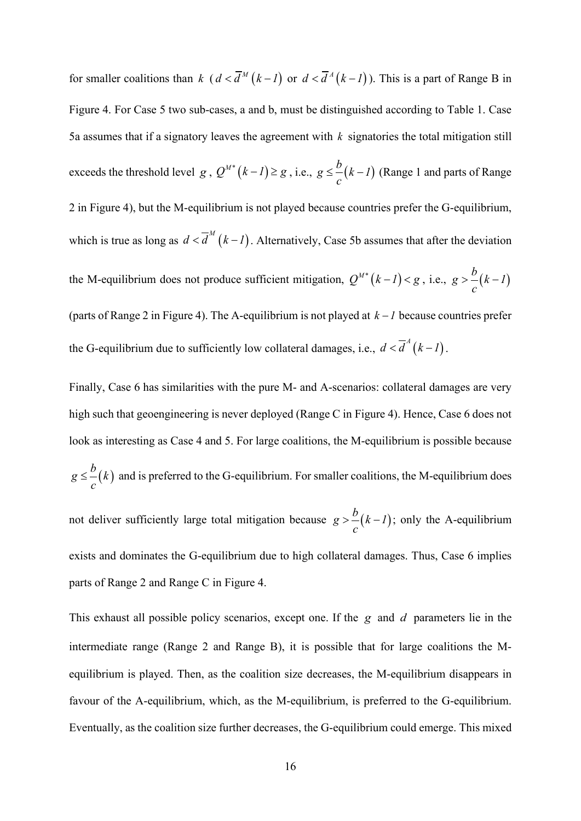for smaller coalitions than *k*  $(d < \overline{d}^M (k-1))$  or  $d < \overline{d}^A (k-1)$ ). This is a part of Range B in Figure 4. For Case 5 two sub-cases, a and b, must be distinguished according to Table 1. Case 5a assumes that if a signatory leaves the agreement with *k* signatories the total mitigation still exceeds the threshold level *g* ,  $Q^{M*}(k-l) \ge g$  , i.e.,  $g \le \frac{b}{l}(k-l)$ *c*  $\leq$  –  $(k-1)$  (Range 1 and parts of Range 2 in Figure 4), but the M-equilibrium is not played because countries prefer the G-equilibrium, which is true as long as  $d < \overline{d}^M (k-1)$ . Alternatively, Case 5b assumes that after the deviation the M-equilibrium does not produce sufficient mitigation,  $Q^{M*}(k-l) < g$ , i.e.,  $g > -(k-l)$ *c*  $> -k$  – (parts of Range 2 in Figure 4). The A-equilibrium is not played at  $k - 1$  because countries prefer the G-equilibrium due to sufficiently low collateral damages, i.e.,  $d < \overline{d}^A (k-1)$ .

Finally, Case 6 has similarities with the pure M- and A-scenarios: collateral damages are very high such that geoengineering is never deployed (Range C in Figure 4). Hence, Case 6 does not look as interesting as Case 4 and 5. For large coalitions, the M-equilibrium is possible because  $g \leq \frac{b}{k}$ *c*  $\leq$   $-(k)$  and is preferred to the G-equilibrium. For smaller coalitions, the M-equilibrium does not deliver sufficiently large total mitigation because  $g > -\frac{b}{(k-1)}$ *c*  $>$  –  $(k-l)$ ; only the A-equilibrium exists and dominates the G-equilibrium due to high collateral damages. Thus, Case 6 implies

This exhaust all possible policy scenarios, except one. If the *g* and *d* parameters lie in the intermediate range (Range 2 and Range B), it is possible that for large coalitions the Mequilibrium is played. Then, as the coalition size decreases, the M-equilibrium disappears in favour of the A-equilibrium, which, as the M-equilibrium, is preferred to the G-equilibrium. Eventually, as the coalition size further decreases, the G-equilibrium could emerge. This mixed

parts of Range 2 and Range C in Figure 4.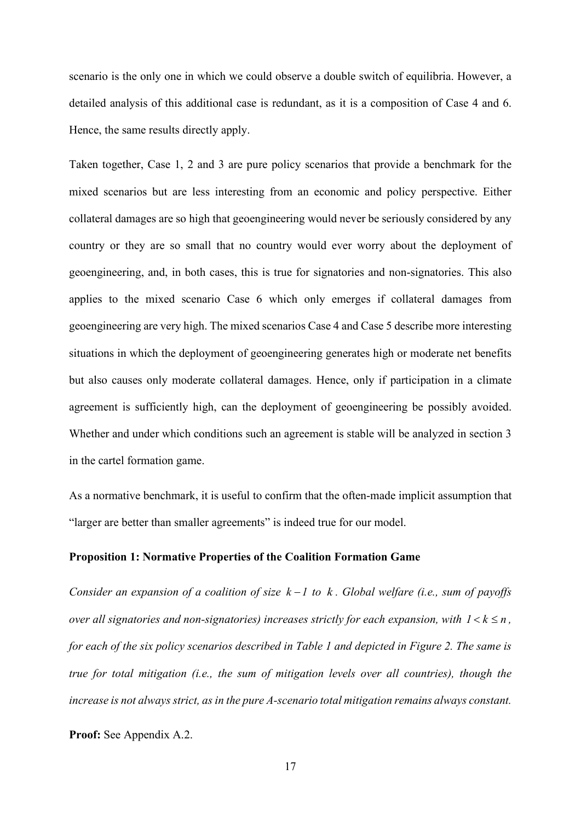scenario is the only one in which we could observe a double switch of equilibria. However, a detailed analysis of this additional case is redundant, as it is a composition of Case 4 and 6. Hence, the same results directly apply.

Taken together, Case 1, 2 and 3 are pure policy scenarios that provide a benchmark for the mixed scenarios but are less interesting from an economic and policy perspective. Either collateral damages are so high that geoengineering would never be seriously considered by any country or they are so small that no country would ever worry about the deployment of geoengineering, and, in both cases, this is true for signatories and non-signatories. This also applies to the mixed scenario Case 6 which only emerges if collateral damages from geoengineering are very high. The mixed scenarios Case 4 and Case 5 describe more interesting situations in which the deployment of geoengineering generates high or moderate net benefits but also causes only moderate collateral damages. Hence, only if participation in a climate agreement is sufficiently high, can the deployment of geoengineering be possibly avoided. Whether and under which conditions such an agreement is stable will be analyzed in section 3 in the cartel formation game.

As a normative benchmark, it is useful to confirm that the often-made implicit assumption that "larger are better than smaller agreements" is indeed true for our model.

## **Proposition 1: Normative Properties of the Coalition Formation Game**

*Consider an expansion of a coalition of size k – 1 to k. Global welfare (i.e., sum of payoffs over all signatories and non-signatories) increases strictly for each expansion, with*  $1 < k \le n$ *, for each of the six policy scenarios described in Table 1 and depicted in Figure 2. The same is true for total mitigation (i.e., the sum of mitigation levels over all countries), though the increase is not always strict, as in the pure A-scenario total mitigation remains always constant.*

**Proof:** See Appendix A.2.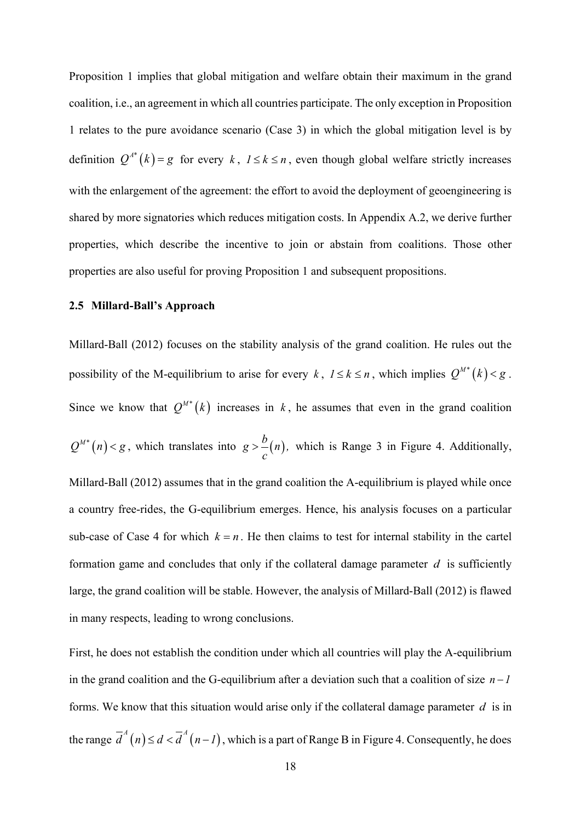Proposition 1 implies that global mitigation and welfare obtain their maximum in the grand coalition, i.e., an agreement in which all countries participate. The only exception in Proposition 1 relates to the pure avoidance scenario (Case 3) in which the global mitigation level is by definition  $Q^{A^*}(k) = g$  for every  $k, l \le k \le n$ , even though global welfare strictly increases with the enlargement of the agreement: the effort to avoid the deployment of geoengineering is shared by more signatories which reduces mitigation costs. In Appendix A.2, we derive further properties, which describe the incentive to join or abstain from coalitions. Those other properties are also useful for proving Proposition 1 and subsequent propositions.

#### **2.5 Millard-Ball's Approach**

Millard-Ball (2012) focuses on the stability analysis of the grand coalition. He rules out the possibility of the M-equilibrium to arise for every *k*,  $1 \le k \le n$ , which implies  $Q^{M*}(k) < g$ . Since we know that  $Q^{M*}(k)$  increases in k, he assumes that even in the grand coalition  $Q^{M*}(n) < g$ , which translates into  $g > -(n)$ , *c*  $\sum_{n=0}^{\infty}$  (*n*), which is Range 3 in Figure 4. Additionally, Millard-Ball (2012) assumes that in the grand coalition the A-equilibrium is played while once a country free-rides, the G-equilibrium emerges. Hence, his analysis focuses on a particular sub-case of Case 4 for which  $k = n$ . He then claims to test for internal stability in the cartel formation game and concludes that only if the collateral damage parameter  $d$  is sufficiently large, the grand coalition will be stable. However, the analysis of Millard-Ball (2012) is flawed in many respects, leading to wrong conclusions.

First, he does not establish the condition under which all countries will play the A-equilibrium in the grand coalition and the G-equilibrium after a deviation such that a coalition of size  $n - 1$ forms. We know that this situation would arise only if the collateral damage parameter *d* is in the range  $\overline{d}^A(n) \leq d < \overline{d}^A(n-1)$ , which is a part of Range B in Figure 4. Consequently, he does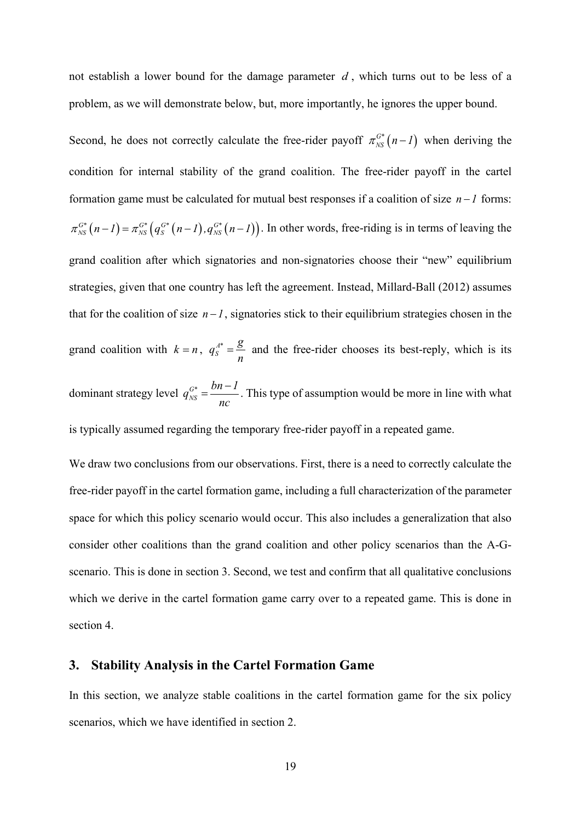not establish a lower bound for the damage parameter *d* , which turns out to be less of a problem, as we will demonstrate below, but, more importantly, he ignores the upper bound.

Second, he does not correctly calculate the free-rider payoff  $\pi_{NS}^{G^*}(n-1)$  when deriving the condition for internal stability of the grand coalition. The free-rider payoff in the cartel formation game must be calculated for mutual best responses if a coalition of size  $n-1$  forms:  $\pi_{NS}^{G^*}(n-1) = \pi_{NS}^{G^*}(q_S^{G^*}(n-1), q_{NS}^{G^*}(n-1))$ . In other words, free-riding is in terms of leaving the grand coalition after which signatories and non-signatories choose their "new" equilibrium strategies, given that one country has left the agreement. Instead, Millard-Ball (2012) assumes that for the coalition of size  $n - 1$ , signatories stick to their equilibrium strategies chosen in the grand coalition with  $k = n$ ,  $q_s^A = \frac{g}{n}$  and the free-rider chooses its best-reply, which is its dominant strategy level  $q_{NS}^{G^*}$  $q_{NS}^{G^*} = \frac{bn - 1}{2}$ *nc*  $=\frac{bn-1}{n}$ . This type of assumption would be more in line with what is typically assumed regarding the temporary free-rider payoff in a repeated game.

We draw two conclusions from our observations. First, there is a need to correctly calculate the free-rider payoff in the cartel formation game, including a full characterization of the parameter space for which this policy scenario would occur. This also includes a generalization that also consider other coalitions than the grand coalition and other policy scenarios than the A-Gscenario. This is done in section 3. Second, we test and confirm that all qualitative conclusions which we derive in the cartel formation game carry over to a repeated game. This is done in section 4.

## **3. Stability Analysis in the Cartel Formation Game**

In this section, we analyze stable coalitions in the cartel formation game for the six policy scenarios, which we have identified in section 2.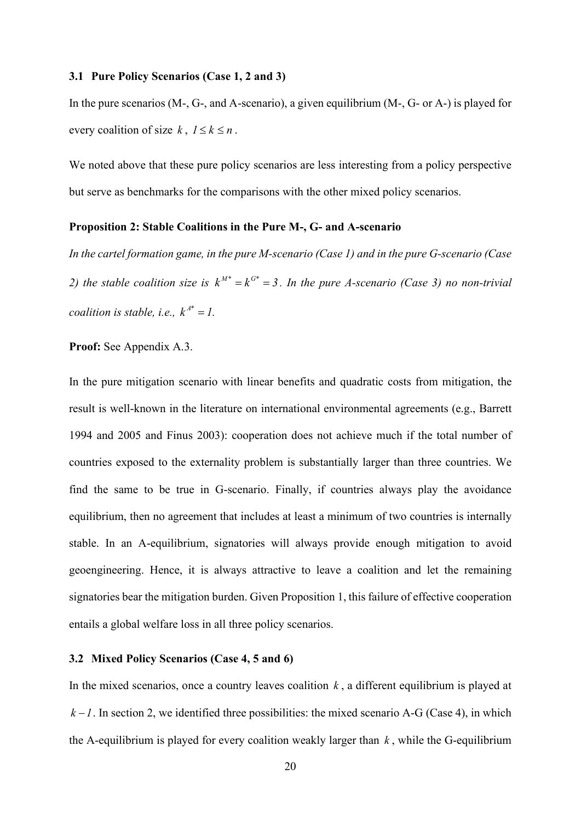#### **3.1 Pure Policy Scenarios (Case 1, 2 and 3)**

In the pure scenarios (M-, G-, and A-scenario), a given equilibrium (M-, G- or A-) is played for every coalition of size  $k$ ,  $1 \le k \le n$ .

We noted above that these pure policy scenarios are less interesting from a policy perspective but serve as benchmarks for the comparisons with the other mixed policy scenarios.

#### **Proposition 2: Stable Coalitions in the Pure M-, G- and A-scenario**

*In the cartel formation game, in the pure M-scenario (Case 1) and in the pure G-scenario (Case 2)* the stable coalition size is  $k^{M^*} = k^{G^*} = 3$ . In the pure A-scenario (Case 3) no non-trivial *coalition is stable, i.e.,*  $k^{A^*} = l$ .

#### **Proof:** See Appendix A.3.

In the pure mitigation scenario with linear benefits and quadratic costs from mitigation, the result is well-known in the literature on international environmental agreements (e.g., Barrett 1994 and 2005 and Finus 2003): cooperation does not achieve much if the total number of countries exposed to the externality problem is substantially larger than three countries. We find the same to be true in G-scenario. Finally, if countries always play the avoidance equilibrium, then no agreement that includes at least a minimum of two countries is internally stable. In an A-equilibrium, signatories will always provide enough mitigation to avoid geoengineering. Hence, it is always attractive to leave a coalition and let the remaining signatories bear the mitigation burden. Given Proposition 1, this failure of effective cooperation entails a global welfare loss in all three policy scenarios.

## **3.2 Mixed Policy Scenarios (Case 4, 5 and 6)**

In the mixed scenarios, once a country leaves coalition *k* , a different equilibrium is played at  $k - l$ . In section 2, we identified three possibilities: the mixed scenario A-G (Case 4), in which the A-equilibrium is played for every coalition weakly larger than  $k$ , while the G-equilibrium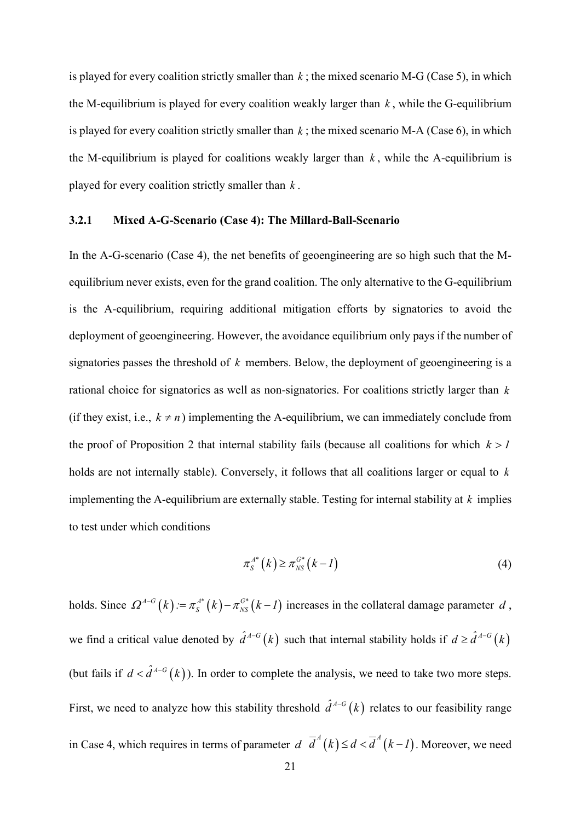is played for every coalition strictly smaller than  $k$ ; the mixed scenario M-G (Case 5), in which the M-equilibrium is played for every coalition weakly larger than *k* , while the G-equilibrium is played for every coalition strictly smaller than  $k$ ; the mixed scenario M-A (Case 6), in which the M-equilibrium is played for coalitions weakly larger than  $k$ , while the A-equilibrium is played for every coalition strictly smaller than *k* .

## **3.2.1 Mixed A-G-Scenario (Case 4): The Millard-Ball-Scenario**

In the A-G-scenario (Case 4), the net benefits of geoengineering are so high such that the Mequilibrium never exists, even for the grand coalition. The only alternative to the G-equilibrium is the A-equilibrium, requiring additional mitigation efforts by signatories to avoid the deployment of geoengineering. However, the avoidance equilibrium only pays if the number of signatories passes the threshold of *k* members. Below, the deployment of geoengineering is a rational choice for signatories as well as non-signatories. For coalitions strictly larger than *k* (if they exist, i.e.,  $k \neq n$ ) implementing the A-equilibrium, we can immediately conclude from the proof of Proposition 2 that internal stability fails (because all coalitions for which  $k > 1$ holds are not internally stable). Conversely, it follows that all coalitions larger or equal to *k* implementing the A-equilibrium are externally stable. Testing for internal stability at *k* implies to test under which conditions

$$
\pi_S^{A^*}(k) \ge \pi_{NS}^{G^*}(k-1) \tag{4}
$$

holds. Since  $\Omega^{A-G}(k) := \pi_S^{A*}(k) - \pi_{NS}^{G*}(k-1)$  increases in the collateral damage parameter *d*, we find a critical value denoted by  $\hat{d}^{A-G}(k)$  such that internal stability holds if  $d \geq \hat{d}^{A-G}(k)$ (but fails if  $d < \hat{d}^{A-G}(k)$ ). In order to complete the analysis, we need to take two more steps. First, we need to analyze how this stability threshold  $\hat{d}^{A-G}(k)$  relates to our feasibility range in Case 4, which requires in terms of parameter  $d \overline{d}^A(k) \leq d < \overline{d}^A(k-1)$ . Moreover, we need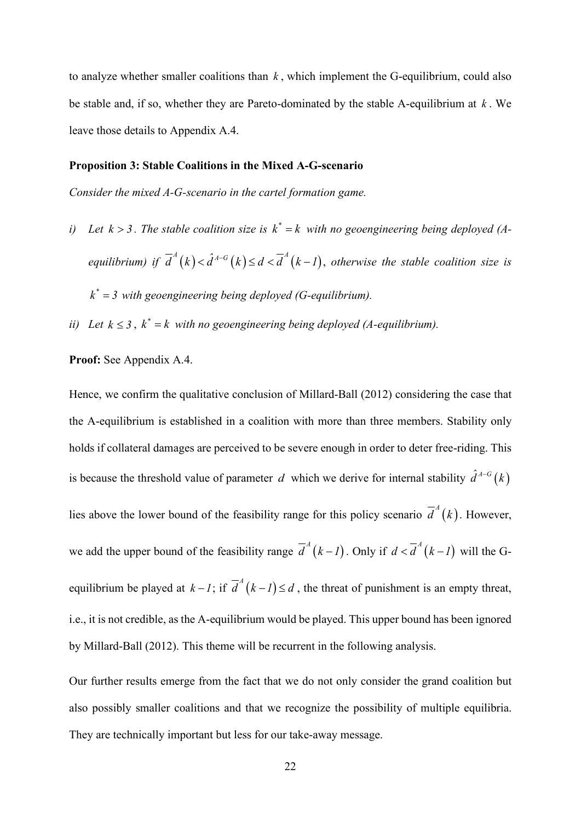to analyze whether smaller coalitions than  $k$ , which implement the G-equilibrium, could also be stable and, if so, whether they are Pareto-dominated by the stable A-equilibrium at *k* . We leave those details to Appendix A.4.

## **Proposition 3: Stable Coalitions in the Mixed A-G-scenario**

*Consider the mixed A-G-scenario in the cartel formation game.* 

- *i*) Let  $k > 3$ . The stable coalition size is  $k^* = k$  with no geoengineering being deployed (A*equilibrium) if*  $\overline{d}^{A}(k) < \hat{d}^{A-G}(k) \leq d < \overline{d}^{A}(k-1)$ , *otherwise the stable coalition size is*  $k^* = 3$  with geoengineering being deployed (G-equilibrium).
- *ii*) *Let*  $k \leq 3$ ,  $k^* = k$  *with no geoengineering being deployed (A-equilibrium).*

## **Proof:** See Appendix A.4.

Hence, we confirm the qualitative conclusion of Millard-Ball (2012) considering the case that the A-equilibrium is established in a coalition with more than three members. Stability only holds if collateral damages are perceived to be severe enough in order to deter free-riding. This is because the threshold value of parameter *d* which we derive for internal stability  $\hat{d}^{A-G}(k)$ lies above the lower bound of the feasibility range for this policy scenario  $\overline{d}^A(k)$ . However, we add the upper bound of the feasibility range  $\overline{d}^A(k-1)$ . Only if  $d < \overline{d}^A(k-1)$  will the Gequilibrium be played at  $k - 1$ ; if  $\overline{d}^A(k-1) \le d$ , the threat of punishment is an empty threat, i.e., it is not credible, as the A-equilibrium would be played. This upper bound has been ignored by Millard-Ball (2012). This theme will be recurrent in the following analysis.

Our further results emerge from the fact that we do not only consider the grand coalition but also possibly smaller coalitions and that we recognize the possibility of multiple equilibria. They are technically important but less for our take-away message.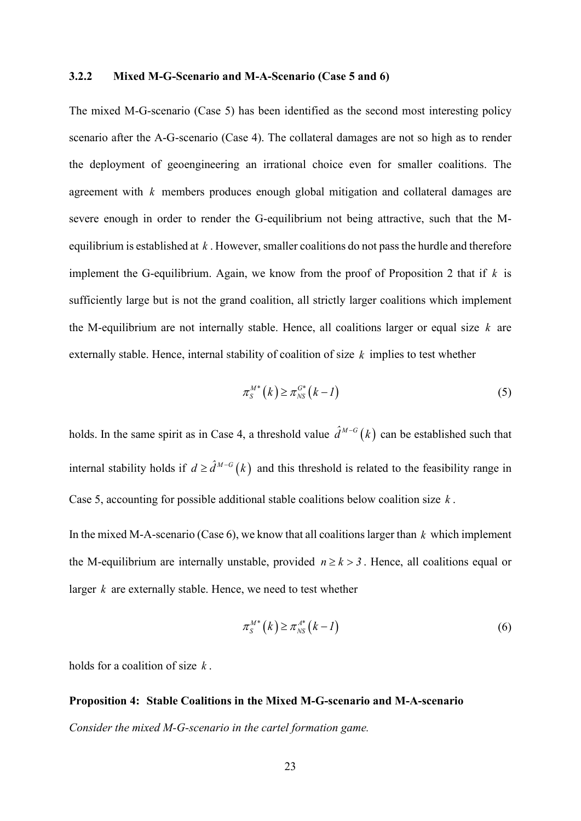## **3.2.2 Mixed M-G-Scenario and M-A-Scenario (Case 5 and 6)**

The mixed M-G-scenario (Case 5) has been identified as the second most interesting policy scenario after the A-G-scenario (Case 4). The collateral damages are not so high as to render the deployment of geoengineering an irrational choice even for smaller coalitions. The agreement with *k* members produces enough global mitigation and collateral damages are severe enough in order to render the G-equilibrium not being attractive, such that the Mequilibrium is established at *k* . However, smaller coalitions do not pass the hurdle and therefore implement the G-equilibrium. Again, we know from the proof of Proposition 2 that if  $k$  is sufficiently large but is not the grand coalition, all strictly larger coalitions which implement the M-equilibrium are not internally stable. Hence, all coalitions larger or equal size *k* are externally stable. Hence, internal stability of coalition of size *k* implies to test whether

$$
\pi_S^{M^*}(k) \ge \pi_{NS}^{G^*}(k-1)
$$
\n<sup>(5)</sup>

holds. In the same spirit as in Case 4, a threshold value  $\hat{d}^{M-G}(k)$  can be established such that internal stability holds if  $d \geq \hat{d}^{M-G}(k)$  and this threshold is related to the feasibility range in Case 5, accounting for possible additional stable coalitions below coalition size *k* .

In the mixed M-A-scenario (Case 6), we know that all coalitions larger than *k* which implement the M-equilibrium are internally unstable, provided  $n \ge k > 3$ . Hence, all coalitions equal or larger *k* are externally stable. Hence, we need to test whether

$$
\pi_S^{M^*}(k) \ge \pi_{NS}^{A^*}(k-1) \tag{6}
$$

holds for a coalition of size *k* .

**Proposition 4: Stable Coalitions in the Mixed M-G-scenario and M-A-scenario** *Consider the mixed M-G-scenario in the cartel formation game.*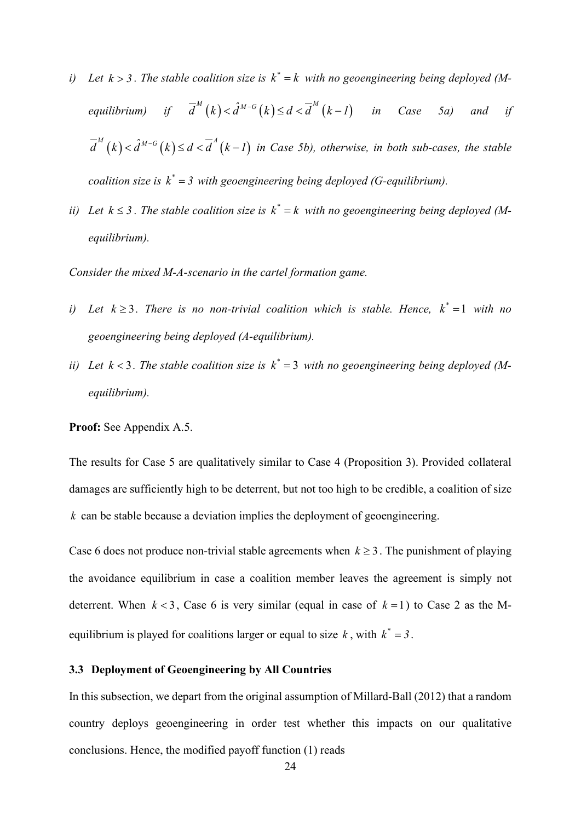- *i*) Let  $k > 3$ . The stable coalition size is  $k^* = k$  with no geoengineering being deployed (M*equilibrium) if*  $\overline{d}^M(k) < \hat{d}^{M-G}(k) \leq d < \overline{d}^M(k-1)$  *in Case 5a) and if*  $\overline{d}^{M}(k) < \hat{d}^{M-G}(k) \leq d < \overline{d}^{A}(k-1)$  in Case 5b), otherwise, in both sub-cases, the stable *coalition size is*  $k^* = 3$  *with geoengineering being deployed (G-equilibrium).*
- *ii*) Let  $k \leq 3$ . The stable coalition size is  $k^* = k$  with no geoengineering being deployed (M*equilibrium).*

*Consider the mixed M-A-scenario in the cartel formation game.*

- *i*) Let  $k \geq 3$ . There is no non-trivial coalition which is stable. Hence,  $k^* = 1$  with no *geoengineering being deployed (A-equilibrium).*
- *ii*) Let  $k < 3$ . The stable coalition size is  $k^* = 3$  with no geoengineering being deployed (M*equilibrium).*

**Proof:** See Appendix A.5.

The results for Case 5 are qualitatively similar to Case 4 (Proposition 3). Provided collateral damages are sufficiently high to be deterrent, but not too high to be credible, a coalition of size *k* can be stable because a deviation implies the deployment of geoengineering.

Case 6 does not produce non-trivial stable agreements when  $k \geq 3$ . The punishment of playing the avoidance equilibrium in case a coalition member leaves the agreement is simply not deterrent. When  $k < 3$ , Case 6 is very similar (equal in case of  $k = 1$ ) to Case 2 as the Mequilibrium is played for coalitions larger or equal to size  $k$ , with  $k^* = 3$ .

## **3.3 Deployment of Geoengineering by All Countries**

In this subsection, we depart from the original assumption of Millard-Ball (2012) that a random country deploys geoengineering in order test whether this impacts on our qualitative conclusions. Hence, the modified payoff function (1) reads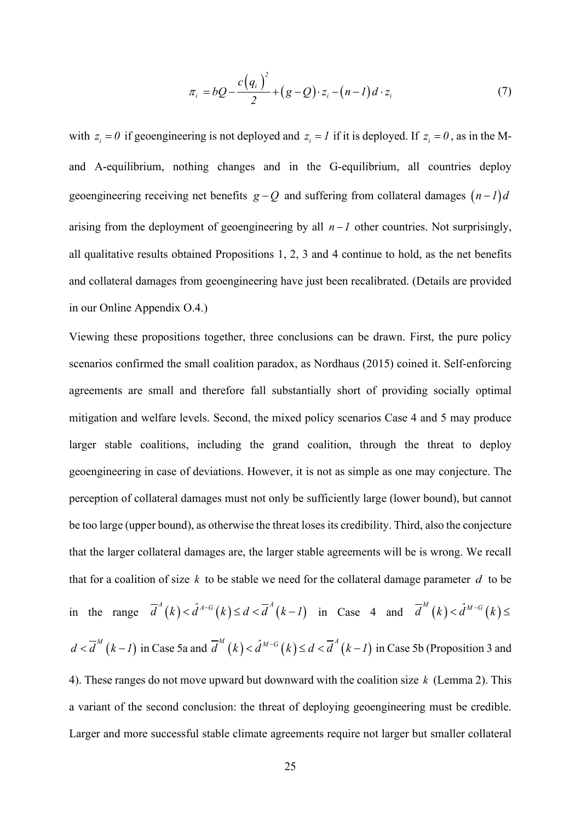$$
\pi_i = bQ - \frac{c(q_i)^2}{2} + (g - Q) \cdot z_i - (n - 1)d \cdot z_i \tag{7}
$$

with  $z_i = 0$  if geoengineering is not deployed and  $z_i = I$  if it is deployed. If  $z_i = 0$ , as in the Mand A-equilibrium, nothing changes and in the G-equilibrium, all countries deploy geoengineering receiving net benefits  $g - Q$  and suffering from collateral damages  $(n-1)d$ arising from the deployment of geoengineering by all  $n - 1$  other countries. Not surprisingly, all qualitative results obtained Propositions 1, 2, 3 and 4 continue to hold, as the net benefits and collateral damages from geoengineering have just been recalibrated. (Details are provided in our Online Appendix O.4.)

Viewing these propositions together, three conclusions can be drawn. First, the pure policy scenarios confirmed the small coalition paradox, as Nordhaus (2015) coined it. Self-enforcing agreements are small and therefore fall substantially short of providing socially optimal mitigation and welfare levels. Second, the mixed policy scenarios Case 4 and 5 may produce larger stable coalitions, including the grand coalition, through the threat to deploy geoengineering in case of deviations. However, it is not as simple as one may conjecture. The perception of collateral damages must not only be sufficiently large (lower bound), but cannot be too large (upper bound), as otherwise the threat loses its credibility. Third, also the conjecture that the larger collateral damages are, the larger stable agreements will be is wrong. We recall that for a coalition of size *k* to be stable we need for the collateral damage parameter *d* to be in the range  $\overline{d}^A(k) < \hat{d}^{A-G}(k) \leq d < \overline{d}^A(k-1)$  in Case 4 and  $\overline{d}^M(k) < \hat{d}^{M-G}(k) \leq$  $d < \overline{d}^M (k-1)$  in Case 5a and  $\overline{d}^M (k) < \hat{d}^{M-G}(k) \leq d < \overline{d}^A (k-1)$  in Case 5b (Proposition 3 and 4). These ranges do not move upward but downward with the coalition size *k* (Lemma 2). This a variant of the second conclusion: the threat of deploying geoengineering must be credible. Larger and more successful stable climate agreements require not larger but smaller collateral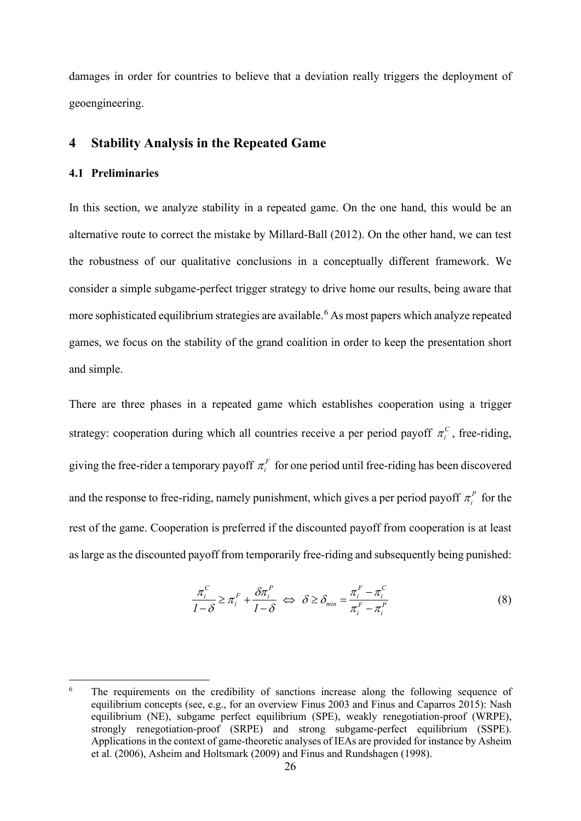damages in order for countries to believe that a deviation really triggers the deployment of geoengineering.

## **4 Stability Analysis in the Repeated Game**

## **4.1 Preliminaries**

In this section, we analyze stability in a repeated game. On the one hand, this would be an alternative route to correct the mistake by Millard-Ball (2012). On the other hand, we can test the robustness of our qualitative conclusions in a conceptually different framework. We consider a simple subgame-perfect trigger strategy to drive home our results, being aware that more sophisticated equilibrium strategies are available.<sup>[6](#page-26-0)</sup> As most papers which analyze repeated games, we focus on the stability of the grand coalition in order to keep the presentation short and simple.

There are three phases in a repeated game which establishes cooperation using a trigger strategy: cooperation during which all countries receive a per period payoff  $\pi$ <sup>*c*</sup>, free-riding, giving the free-rider a temporary payoff  $\pi_i^F$  for one period until free-riding has been discovered and the response to free-riding, namely punishment, which gives a per period payoff  $\pi_i^P$  for the rest of the game. Cooperation is preferred if the discounted payoff from cooperation is at least as large as the discounted payoff from temporarily free-riding and subsequently being punished:

$$
\frac{\pi_i^C}{1-\delta} \ge \pi_i^F + \frac{\delta \pi_i^P}{1-\delta} \iff \delta \ge \delta_{\min} = \frac{\pi_i^F - \pi_i^C}{\pi_i^F - \pi_i^P}
$$
(8)

<span id="page-26-0"></span><sup>&</sup>lt;sup>6</sup> The requirements on the credibility of sanctions increase along the following sequence of equilibrium concepts (see, e.g., for an overview Finus 2003 and Finus and Caparros 2015): Nash equilibrium (NE), subgame perfect equilibrium (SPE), weakly renegotiation-proof (WRPE), strongly renegotiation-proof (SRPE) and strong subgame-perfect equilibrium (SSPE). Applications in the context of game-theoretic analyses of IEAs are provided for instance by Asheim et al. (2006), Asheim and Holtsmark (2009) and Finus and Rundshagen (1998).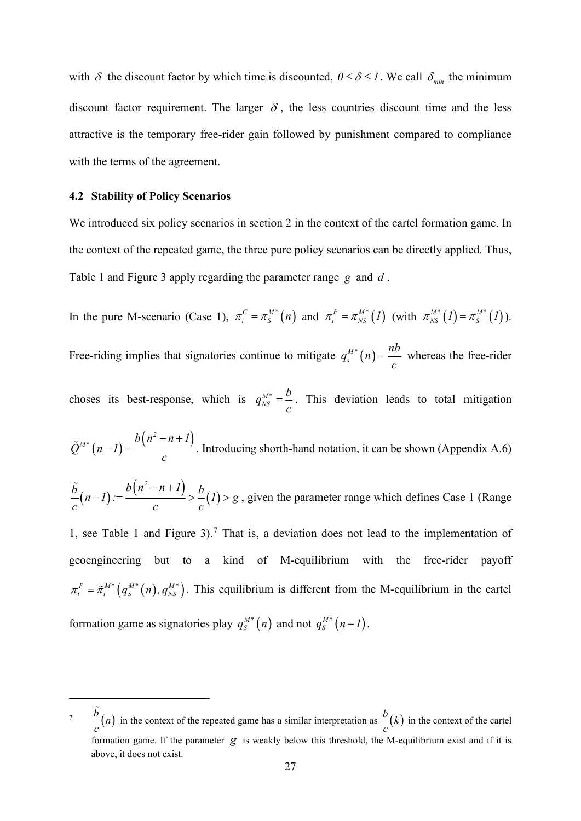with  $\delta$  the discount factor by which time is discounted,  $0 \le \delta \le 1$ . We call  $\delta_{min}$  the minimum discount factor requirement. The larger  $\delta$ , the less countries discount time and the less attractive is the temporary free-rider gain followed by punishment compared to compliance with the terms of the agreement.

#### **4.2 Stability of Policy Scenarios**

We introduced six policy scenarios in section 2 in the context of the cartel formation game. In the context of the repeated game, the three pure policy scenarios can be directly applied. Thus, Table 1 and Figure 3 apply regarding the parameter range *g* and *d* .

In the pure M-scenario (Case 1),  $\pi_i^C = \pi_S^{M*}(n)$  and  $\pi_i^P = \pi_{NS}^{M*}(1)$  (with  $\pi_{NS}^{M*}(1) = \pi_S^{M*}(1)$ ). Free-riding implies that signatories continue to mitigate  $q_s^{\scriptscriptstyle M*}(n)$  $q_s^{M*}(n) = \frac{nb}{c}$  whereas the free-rider

choses its best-response, which is  $q_{NS}^{M*}$  $q_{NS}^{M^*} = \frac{b}{c}$ . This deviation leads to total mitigation

 $\tilde{Q}^{M*}(n-1) = \frac{b(n^2-n+1)}{2}$ *c*  $\tilde{Q}^{M*}(n-1) = \frac{b(n^2 - n + 1)}{m}$ . Introducing shorth-hand notation, it can be shown (Appendix A.6)

 $\frac{\tilde{b}}{2}(n-1) := \frac{b(n^2-n+1)}{2} > b(1) > g$  $c$  *c c*  $-\tilde{\phi}(n-1) := \frac{b(n^2-n+1)}{b} > -1$  > g, given the parameter range which defines Case 1 (Range

1, see Table 1 and Figure 3). [7](#page-27-0) That is, a deviation does not lead to the implementation of geoengineering but to a kind of M-equilibrium with the free-rider payoff  $\pi_i^F = \tilde{\pi}_i^{M*} (q_s^{M*}(n), q_{NS}^{M*})$ . This equilibrium is different from the M-equilibrium in the cartel formation game as signatories play  $q_S^{M*}(n)$  and not  $q_S^{M*}(n-1)$ .

<span id="page-27-0"></span><sup>&</sup>lt;sup>7</sup>  $\frac{b}{-}(n)$ *c*  $\frac{1}{2}$   $\left( n \right)$  in the context of the repeated game has a similar interpretation as  $\frac{b}{a}$   $\left( k \right)$ *c* in the context of the cartel formation game. If the parameter  $g$  is weakly below this threshold, the M-equilibrium exist and if it is above, it does not exist.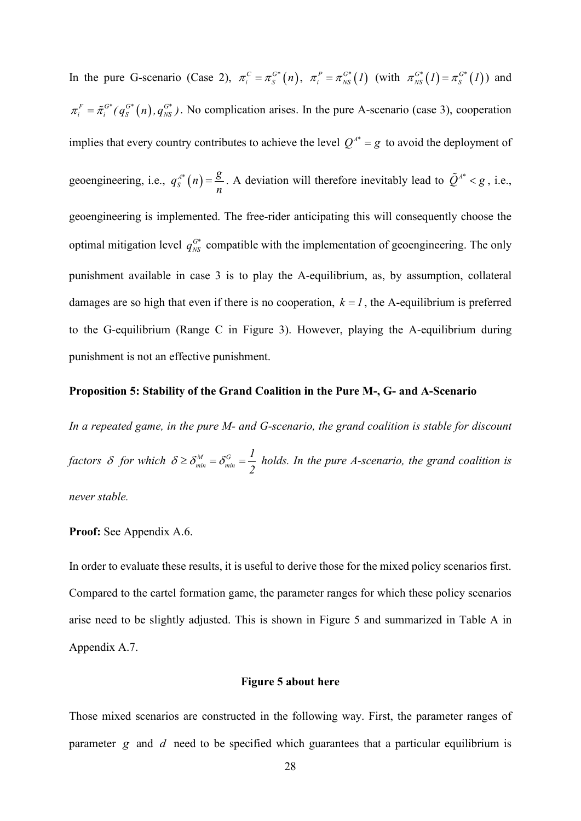In the pure G-scenario (Case 2),  $\pi_i^C = \pi_S^{G^*}(n)$ ,  $\pi_i^P = \pi_{NS}^{G^*}(1)$  (with  $\pi_{NS}^{G^*}(1) = \pi_S^{G^*}(1)$ ) and  $\pi_i^F = \tilde{\pi}_i^{G^*}(q_s^{G^*}(n), q_{NS}^{G^*})$ . No complication arises. In the pure A-scenario (case 3), cooperation implies that every country contributes to achieve the level  $Q^{A^*} = g$  to avoid the deployment of geoengineering, i.e.,  $q_s^{A^*}(n) = \frac{g}{n}$ . A deviation will therefore inevitably lead to  $\tilde{Q}^{A^*} < g$ , i.e., geoengineering is implemented. The free-rider anticipating this will consequently choose the optimal mitigation level  $q_{NS}^{G^*}$  compatible with the implementation of geoengineering. The only punishment available in case 3 is to play the A-equilibrium, as, by assumption, collateral damages are so high that even if there is no cooperation,  $k = 1$ , the A-equilibrium is preferred to the G-equilibrium (Range C in Figure 3). However, playing the A-equilibrium during punishment is not an effective punishment.

#### **Proposition 5: Stability of the Grand Coalition in the Pure M-, G- and A-Scenario**

*In a repeated game, in the pure M- and G-scenario, the grand coalition is stable for discount factors*  $\delta$  *for which*  $\delta \geq \delta_{\min}^M = \delta_{\min}^G$ *1 2*  $\delta \geq \delta_{\min}^M = \delta_{\min}^G = \frac{1}{2}$  holds. In the pure A-scenario, the grand coalition is *never stable.*

#### **Proof:** See Appendix A.6.

In order to evaluate these results, it is useful to derive those for the mixed policy scenarios first. Compared to the cartel formation game, the parameter ranges for which these policy scenarios arise need to be slightly adjusted. This is shown in Figure 5 and summarized in Table A in Appendix A.7.

#### **Figure 5 about here**

Those mixed scenarios are constructed in the following way. First, the parameter ranges of parameter *g* and *d* need to be specified which guarantees that a particular equilibrium is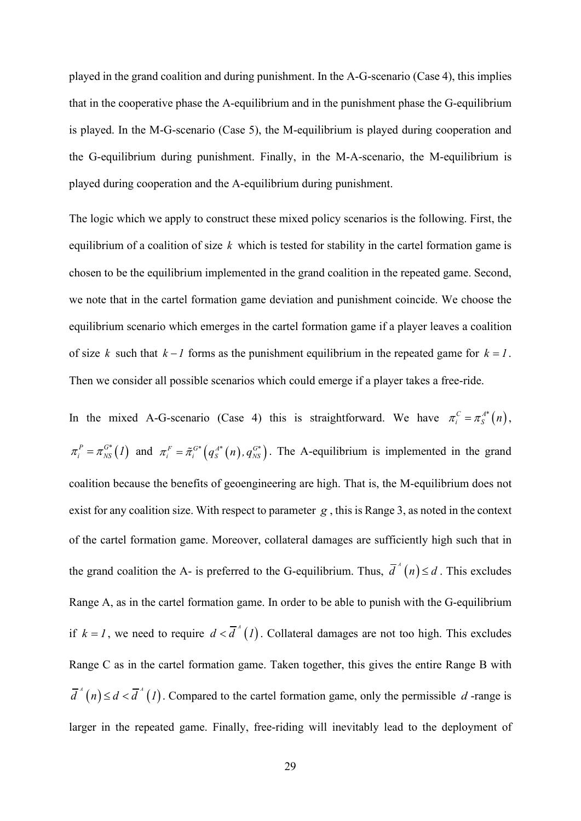played in the grand coalition and during punishment. In the A-G-scenario (Case 4), this implies that in the cooperative phase the A-equilibrium and in the punishment phase the G-equilibrium is played. In the M-G-scenario (Case 5), the M-equilibrium is played during cooperation and the G-equilibrium during punishment. Finally, in the M-A-scenario, the M-equilibrium is played during cooperation and the A-equilibrium during punishment.

The logic which we apply to construct these mixed policy scenarios is the following. First, the equilibrium of a coalition of size *k* which is tested for stability in the cartel formation game is chosen to be the equilibrium implemented in the grand coalition in the repeated game. Second, we note that in the cartel formation game deviation and punishment coincide. We choose the equilibrium scenario which emerges in the cartel formation game if a player leaves a coalition of size *k* such that  $k - 1$  forms as the punishment equilibrium in the repeated game for  $k = 1$ . Then we consider all possible scenarios which could emerge if a player takes a free-ride.

In the mixed A-G-scenario (Case 4) this is straightforward. We have  $\pi_i^C = \pi_i^{A^*}(n)$ ,  $\pi_i^P = \pi_{NS}^{G^*}(I)$  and  $\pi_i^F = \tilde{\pi}_i^{G^*}(q_S^{A^*}(n), q_{NS}^{G^*})$ . The A-equilibrium is implemented in the grand coalition because the benefits of geoengineering are high. That is, the M-equilibrium does not exist for any coalition size. With respect to parameter *g* , this is Range 3, as noted in the context of the cartel formation game. Moreover, collateral damages are sufficiently high such that in the grand coalition the A- is preferred to the G-equilibrium. Thus,  $\overline{d}^A(n) \leq d$ . This excludes Range A, as in the cartel formation game. In order to be able to punish with the G-equilibrium if  $k = 1$ , we need to require  $d < \overline{d}^A(I)$ . Collateral damages are not too high. This excludes Range C as in the cartel formation game. Taken together, this gives the entire Range B with  $\overline{d}^A(n) \leq d < \overline{d}^A(1)$ . Compared to the cartel formation game, only the permissible *d*-range is larger in the repeated game. Finally, free-riding will inevitably lead to the deployment of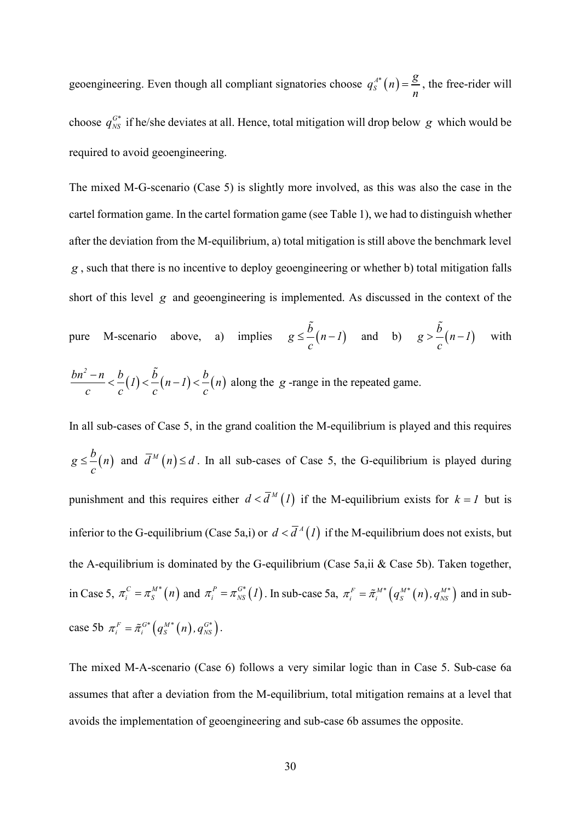geoengineering. Even though all compliant signatories choose  $q_s^{A^*}(n) = \frac{g}{n}$ , the free-rider will choose  $q_{NS}^{G^*}$  if he/she deviates at all. Hence, total mitigation will drop below  $g$  which would be required to avoid geoengineering.

The mixed M-G-scenario (Case 5) is slightly more involved, as this was also the case in the cartel formation game. In the cartel formation game (see Table 1), we had to distinguish whether after the deviation from the M-equilibrium, a) total mitigation is still above the benchmark level *g* , such that there is no incentive to deploy geoengineering or whether b) total mitigation falls short of this level *g* and geoengineering is implemented. As discussed in the context of the pure M-scenario above, a) implies  $g \le \frac{\tilde{b}}{n-1}$  and b)  $g > \frac{\tilde{b}}{n-1}$  with

$$
\frac{bn^2 - n}{c} < \frac{b}{c}(1) < \frac{b}{c}(n-1) < \frac{b}{c}(n)
$$
 along the g-range in the repeated game.

In all sub-cases of Case 5, in the grand coalition the M-equilibrium is played and this requires  $g \leq \frac{b}{n}$ *c*  $\leq \frac{\nu}{n}$  and  $\overline{d}^M(n) \leq d$ . In all sub-cases of Case 5, the G-equilibrium is played during punishment and this requires either  $d < \overline{d}^M(I)$  if the M-equilibrium exists for  $k = I$  but is inferior to the G-equilibrium (Case 5a,i) or  $d < \overline{d}^A(I)$  if the M-equilibrium does not exists, but the A-equilibrium is dominated by the G-equilibrium (Case 5a,ii & Case 5b). Taken together, in Case 5,  $\pi_i^C = \pi_S^{M*}(n)$  and  $\pi_i^P = \pi_{NS}^{G*}(I)$ . In sub-case 5a,  $\pi_i^F = \tilde{\pi}_i^{M*}(q_S^{M*}(n), q_{NS}^{M*})$  and in subcase 5b  $\pi_i^F = \tilde{\pi}_i^{G*} (q_s^{M*}(n), q_{NS}^{G*}).$ 

The mixed M-A-scenario (Case 6) follows a very similar logic than in Case 5. Sub-case 6a assumes that after a deviation from the M-equilibrium, total mitigation remains at a level that avoids the implementation of geoengineering and sub-case 6b assumes the opposite.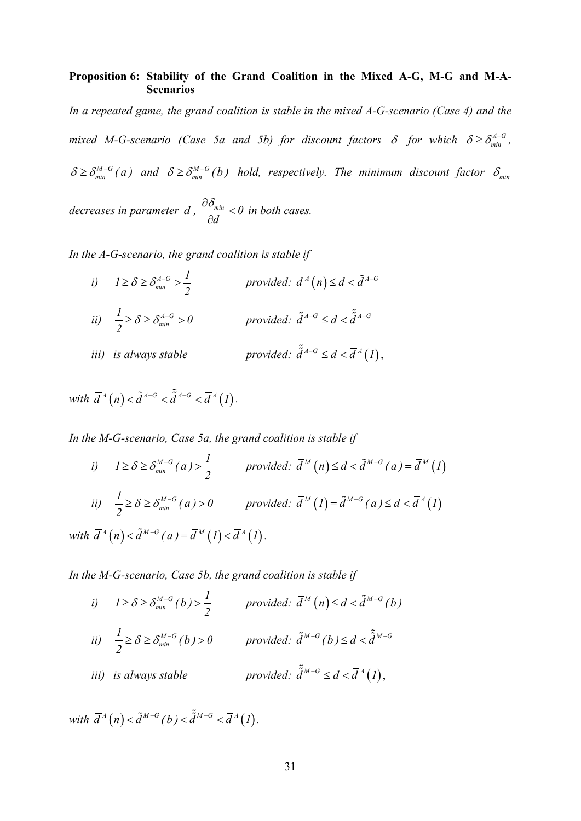## **Proposition 6: Stability of the Grand Coalition in the Mixed A-G, M-G and M-A-Scenarios**

*In a repeated game, the grand coalition is stable in the mixed A-G-scenario (Case 4) and the mixed M-G-scenario (Case 5a and 5b) for discount factors*  $\delta$  *for which*  $\delta \geq \delta_{min}^{A-G}$ *,*  $\delta \geq \delta_{min}^{M-G}(a)$  and  $\delta \geq \delta_{min}^{M-G}(b)$  hold, respectively. The minimum discount factor  $\delta_{min}$ 

*decreases in parameter d*,  $\frac{C_{\text{min}}}{2} < 0$ *d*  $\frac{\partial \mathcal{S}_{min}}{\partial \mathcal{S}_{min}}$  < ∂ *in both cases.*

*In the A-G-scenario, the grand coalition is stable if*

*i*)  $I \ge \delta \ge \delta_{\min}^{A-G} > \frac{I}{2}$ *2*  $\geq \delta \geq \delta_{min}^{A-G} > \frac{I}{2}$  *provided:*  $\overline{d}^A(n) \leq d < \tilde{d}^{A-G}$ *ii*)  $\frac{1}{2} \ge \delta \ge \delta_{\min}^{A-G} > 0$ *2*  $\geq \delta \geq \delta_{min}^{A-G} > 0$  *provided:*  $\tilde{d}^{A-G} \leq d < \tilde{\tilde{d}}^{A-G}$ *iii) is always stable provided:*  $\tilde{d}^{A-G} \le d < \overline{d}^A(1)$ ,

*with*  $\overline{d}^A(n) < \tilde{d}^{A-G} < \tilde{\overline{d}}^{A-G} < \overline{d}^A(1)$ .

*In the M-G-scenario, Case 5a, the grand coalition is stable if*

*i)* 
$$
1 \ge \delta \ge \delta_{\min}^{M-G}(a) > \frac{1}{2}
$$
 provided:  $\overline{d}^M(n) \le d < \tilde{d}^{M-G}(a) = \overline{d}^M(1)$   
\n*ii)*  $\frac{1}{2} \ge \delta \ge \delta_{\min}^{M-G}(a) > 0$  provided:  $\overline{d}^M(1) = \tilde{d}^{M-G}(a) \le d < \overline{d}^A(1)$   
\n*with*  $\overline{d}^A(n) < \tilde{d}^{M-G}(a) = \overline{d}^M(1) < \overline{d}^A(1)$ .

*In the M-G-scenario, Case 5b, the grand coalition is stable if*

*i*)  $1 \ge \delta \ge \delta_{\min}^{M-G}(b) > \frac{1}{2}$  *provided:*  $\overline{d}^M(n) \le d < \tilde{d}^{M-G}(b)$ *ii*)  $\frac{1}{2} \ge \delta \ge \delta_{\min}^{M-G}(b) > 0$  *provided:*  $\tilde{d}^{M-G}(b) \le d < \tilde{\tilde{d}}^{M-G}$ *iii) is always stable provided:*  $\tilde{d}^{M-G} \leq d < \overline{d}^{A}(1)$ ,

*with*  $\overline{d}^A(n) < \tilde{d}^{M-G}(b) < \tilde{\tilde{d}}^{M-G} < \overline{d}^A(1)$ .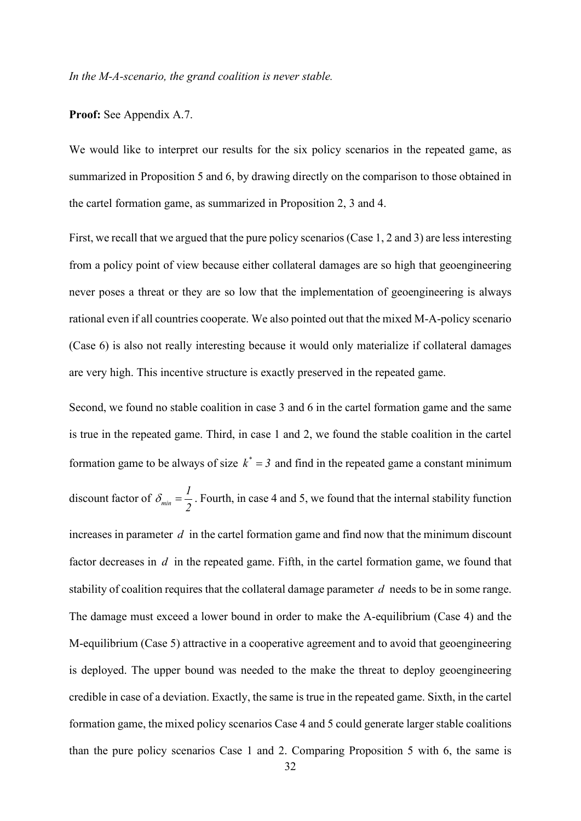#### **Proof:** See Appendix A.7.

We would like to interpret our results for the six policy scenarios in the repeated game, as summarized in Proposition 5 and 6, by drawing directly on the comparison to those obtained in the cartel formation game, as summarized in Proposition 2, 3 and 4.

First, we recall that we argued that the pure policy scenarios (Case 1, 2 and 3) are less interesting from a policy point of view because either collateral damages are so high that geoengineering never poses a threat or they are so low that the implementation of geoengineering is always rational even if all countries cooperate. We also pointed out that the mixed M-A-policy scenario (Case 6) is also not really interesting because it would only materialize if collateral damages are very high. This incentive structure is exactly preserved in the repeated game.

Second, we found no stable coalition in case 3 and 6 in the cartel formation game and the same is true in the repeated game. Third, in case 1 and 2, we found the stable coalition in the cartel formation game to be always of size  $k^* = 3$  and find in the repeated game a constant minimum discount factor of  $\delta_{\min} = \frac{1}{2}$ *2*  $\delta_{\min} = \frac{1}{2}$ . Fourth, in case 4 and 5, we found that the internal stability function increases in parameter *d* in the cartel formation game and find now that the minimum discount factor decreases in *d* in the repeated game. Fifth, in the cartel formation game, we found that stability of coalition requires that the collateral damage parameter *d* needs to be in some range. The damage must exceed a lower bound in order to make the A-equilibrium (Case 4) and the M-equilibrium (Case 5) attractive in a cooperative agreement and to avoid that geoengineering is deployed. The upper bound was needed to the make the threat to deploy geoengineering credible in case of a deviation. Exactly, the same is true in the repeated game. Sixth, in the cartel formation game, the mixed policy scenarios Case 4 and 5 could generate larger stable coalitions than the pure policy scenarios Case 1 and 2. Comparing Proposition 5 with 6, the same is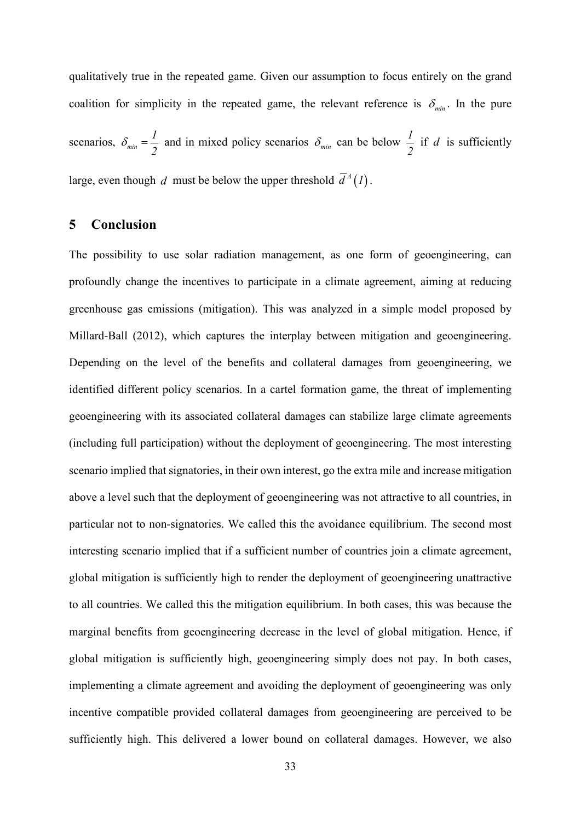qualitatively true in the repeated game. Given our assumption to focus entirely on the grand coalition for simplicity in the repeated game, the relevant reference is  $\delta_{min}$ . In the pure scenarios,  $\delta_{\min} = \frac{1}{2}$  $\delta_{\min} = \frac{1}{2}$  and in mixed policy scenarios  $\delta_{\min}$  can be below  $\frac{1}{2}$ if *d* is sufficiently large, even though *d* must be below the upper threshold  $\overline{d}^A(l)$ .

## **5 Conclusion**

The possibility to use solar radiation management, as one form of geoengineering, can profoundly change the incentives to participate in a climate agreement, aiming at reducing greenhouse gas emissions (mitigation). This was analyzed in a simple model proposed by Millard-Ball (2012), which captures the interplay between mitigation and geoengineering. Depending on the level of the benefits and collateral damages from geoengineering, we identified different policy scenarios. In a cartel formation game, the threat of implementing geoengineering with its associated collateral damages can stabilize large climate agreements (including full participation) without the deployment of geoengineering. The most interesting scenario implied that signatories, in their own interest, go the extra mile and increase mitigation above a level such that the deployment of geoengineering was not attractive to all countries, in particular not to non-signatories. We called this the avoidance equilibrium. The second most interesting scenario implied that if a sufficient number of countries join a climate agreement, global mitigation is sufficiently high to render the deployment of geoengineering unattractive to all countries. We called this the mitigation equilibrium. In both cases, this was because the marginal benefits from geoengineering decrease in the level of global mitigation. Hence, if global mitigation is sufficiently high, geoengineering simply does not pay. In both cases, implementing a climate agreement and avoiding the deployment of geoengineering was only incentive compatible provided collateral damages from geoengineering are perceived to be sufficiently high. This delivered a lower bound on collateral damages. However, we also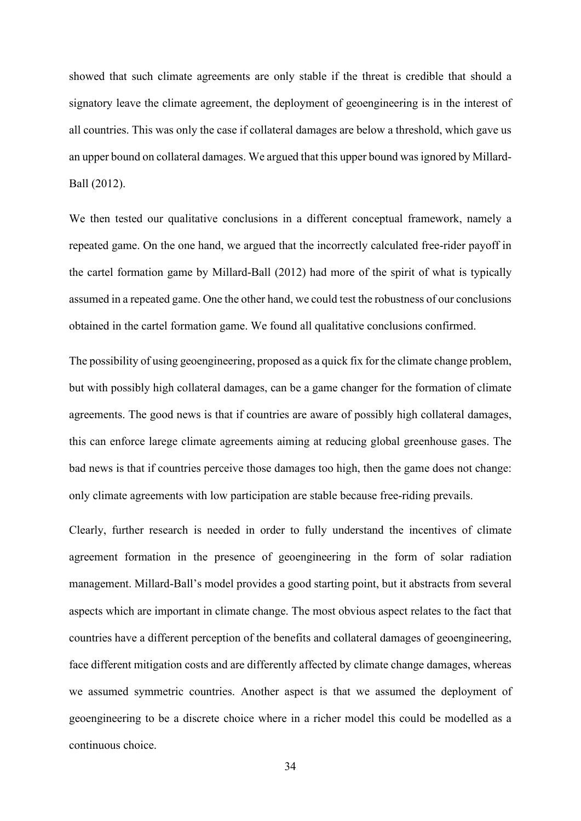showed that such climate agreements are only stable if the threat is credible that should a signatory leave the climate agreement, the deployment of geoengineering is in the interest of all countries. This was only the case if collateral damages are below a threshold, which gave us an upper bound on collateral damages. We argued that this upper bound was ignored by Millard-Ball (2012).

We then tested our qualitative conclusions in a different conceptual framework, namely a repeated game. On the one hand, we argued that the incorrectly calculated free-rider payoff in the cartel formation game by Millard-Ball (2012) had more of the spirit of what is typically assumed in a repeated game. One the other hand, we could test the robustness of our conclusions obtained in the cartel formation game. We found all qualitative conclusions confirmed.

The possibility of using geoengineering, proposed as a quick fix for the climate change problem, but with possibly high collateral damages, can be a game changer for the formation of climate agreements. The good news is that if countries are aware of possibly high collateral damages, this can enforce larege climate agreements aiming at reducing global greenhouse gases. The bad news is that if countries perceive those damages too high, then the game does not change: only climate agreements with low participation are stable because free-riding prevails.

Clearly, further research is needed in order to fully understand the incentives of climate agreement formation in the presence of geoengineering in the form of solar radiation management. Millard-Ball's model provides a good starting point, but it abstracts from several aspects which are important in climate change. The most obvious aspect relates to the fact that countries have a different perception of the benefits and collateral damages of geoengineering, face different mitigation costs and are differently affected by climate change damages, whereas we assumed symmetric countries. Another aspect is that we assumed the deployment of geoengineering to be a discrete choice where in a richer model this could be modelled as a continuous choice.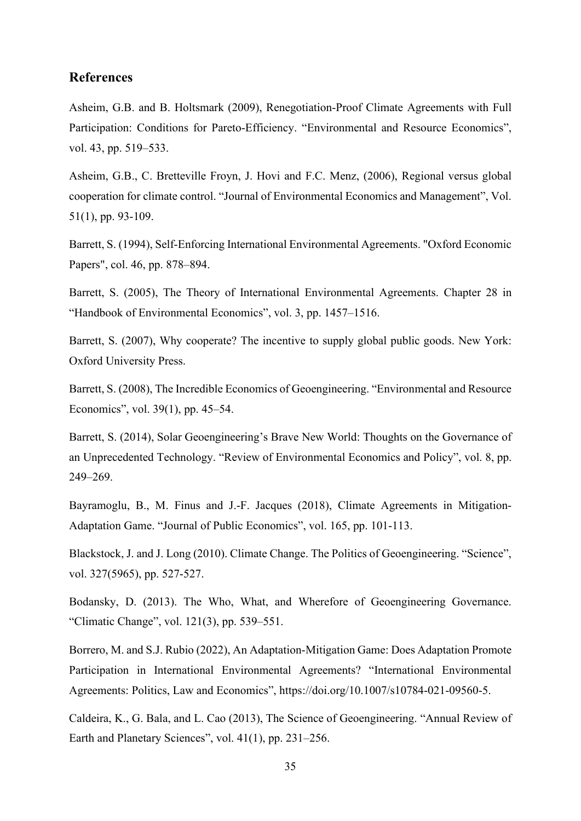## **References**

Asheim, G.B. and B. Holtsmark (2009), Renegotiation-Proof Climate Agreements with Full Participation: Conditions for Pareto-Efficiency. "Environmental and Resource Economics", vol. 43, pp. 519–533.

Asheim, G.B., C. Bretteville Froyn, J. Hovi and F.C. Menz, (2006), Regional versus global cooperation for climate control. "Journal of Environmental Economics and Management", Vol. 51(1), pp. 93-109.

Barrett, S. (1994), Self-Enforcing International Environmental Agreements. "Oxford Economic Papers", col. 46, pp. 878–894.

Barrett, S. (2005), The Theory of International Environmental Agreements. Chapter 28 in "Handbook of Environmental Economics", vol. 3, pp. 1457–1516.

Barrett, S. (2007), Why cooperate? The incentive to supply global public goods. New York: Oxford University Press.

Barrett, S. (2008), The Incredible Economics of Geoengineering. "Environmental and Resource Economics", vol. 39(1), pp. 45–54.

Barrett, S. (2014), Solar Geoengineering's Brave New World: Thoughts on the Governance of an Unprecedented Technology. "Review of Environmental Economics and Policy", vol. 8, pp. 249–269.

Bayramoglu, B., M. Finus and J.-F. Jacques (2018), Climate Agreements in Mitigation-Adaptation Game. "Journal of Public Economics", vol. 165, pp. 101-113.

Blackstock, J. and J. Long (2010). Climate Change. The Politics of Geoengineering. "Science", vol. 327(5965), pp. 527-527.

Bodansky, D. (2013). The Who, What, and Wherefore of Geoengineering Governance. "Climatic Change", vol. 121(3), pp. 539–551.

Borrero, M. and S.J. Rubio (2022), An Adaptation-Mitigation Game: Does Adaptation Promote Participation in International Environmental Agreements? "International Environmental Agreements: Politics, Law and Economics", https://doi.org/10.1007/s10784-021-09560-5.

Caldeira, K., G. Bala, and L. Cao (2013), The Science of Geoengineering. "Annual Review of Earth and Planetary Sciences", vol. 41(1), pp. 231–256.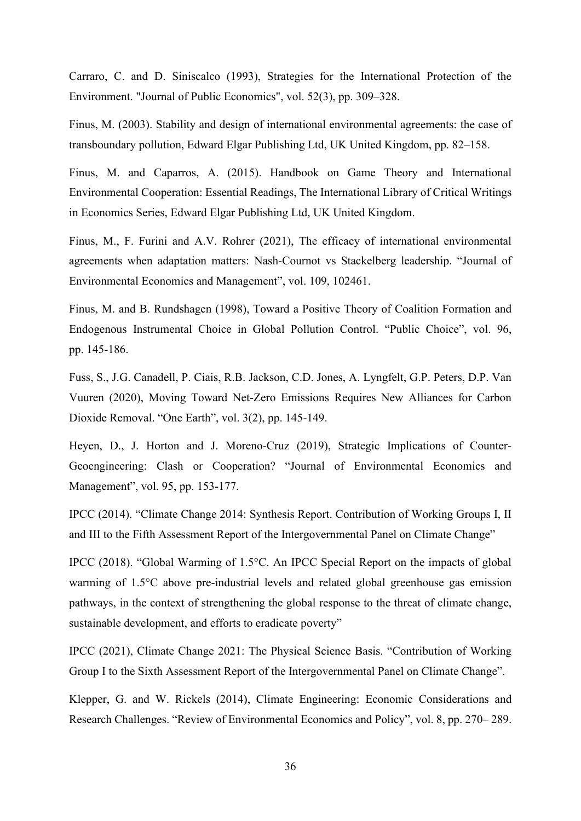Carraro, C. and D. Siniscalco (1993), Strategies for the International Protection of the Environment. "Journal of Public Economics", vol. 52(3), pp. 309–328.

Finus, M. (2003). Stability and design of international environmental agreements: the case of transboundary pollution, Edward Elgar Publishing Ltd, UK United Kingdom, pp. 82–158.

Finus, M. and Caparros, A. (2015). Handbook on Game Theory and International Environmental Cooperation: Essential Readings, The International Library of Critical Writings in Economics Series, Edward Elgar Publishing Ltd, UK United Kingdom.

Finus, M., F. Furini and A.V. Rohrer (2021), The efficacy of international environmental agreements when adaptation matters: Nash-Cournot vs Stackelberg leadership. "Journal of Environmental Economics and Management", vol. 109, 102461.

Finus, M. and B. Rundshagen (1998), Toward a Positive Theory of Coalition Formation and Endogenous Instrumental Choice in Global Pollution Control. "Public Choice", vol. 96, pp. 145-186.

Fuss, S., J.G. Canadell, P. Ciais, R.B. Jackson, C.D. Jones, A. Lyngfelt, G.P. Peters, D.P. Van Vuuren (2020), Moving Toward Net-Zero Emissions Requires New Alliances for Carbon Dioxide Removal. "One Earth", vol. 3(2), pp. 145-149.

Heyen, D., J. Horton and J. Moreno-Cruz (2019), Strategic Implications of Counter-Geoengineering: Clash or Cooperation? "Journal of Environmental Economics and Management", vol. 95, pp. 153-177.

IPCC (2014). "Climate Change 2014: Synthesis Report. Contribution of Working Groups I, II and III to the Fifth Assessment Report of the Intergovernmental Panel on Climate Change"

IPCC (2018). "Global Warming of 1.5°C. An IPCC Special Report on the impacts of global warming of 1.5°C above pre-industrial levels and related global greenhouse gas emission pathways, in the context of strengthening the global response to the threat of climate change, sustainable development, and efforts to eradicate poverty"

IPCC (2021), Climate Change 2021: The Physical Science Basis. "Contribution of Working Group I to the Sixth Assessment Report of the Intergovernmental Panel on Climate Change".

Klepper, G. and W. Rickels (2014), Climate Engineering: Economic Considerations and Research Challenges. "Review of Environmental Economics and Policy", vol. 8, pp. 270– 289.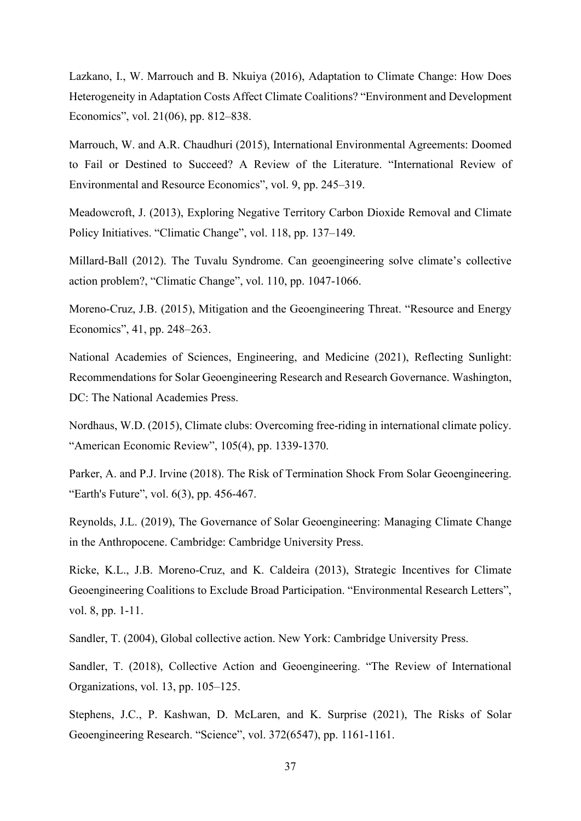Lazkano, I., W. Marrouch and B. Nkuiya (2016), Adaptation to Climate Change: How Does Heterogeneity in Adaptation Costs Affect Climate Coalitions? "Environment and Development Economics", vol. 21(06), pp. 812–838.

Marrouch, W. and A.R. Chaudhuri (2015), International Environmental Agreements: Doomed to Fail or Destined to Succeed? A Review of the Literature. "International Review of Environmental and Resource Economics", vol. 9, pp. 245–319.

Meadowcroft, J. (2013), Exploring Negative Territory Carbon Dioxide Removal and Climate Policy Initiatives. "Climatic Change", vol. 118, pp. 137–149.

Millard-Ball (2012). The Tuvalu Syndrome. Can geoengineering solve climate's collective action problem?, "Climatic Change", vol. 110, pp. 1047-1066.

Moreno-Cruz, J.B. (2015), Mitigation and the Geoengineering Threat. "Resource and Energy Economics", 41, pp. 248–263.

National Academies of Sciences, Engineering, and Medicine (2021), Reflecting Sunlight: Recommendations for Solar Geoengineering Research and Research Governance. Washington, DC: The National Academies Press.

Nordhaus, W.D. (2015), Climate clubs: Overcoming free-riding in international climate policy. "American Economic Review", 105(4), pp. 1339-1370.

Parker, A. and P.J. Irvine (2018). The Risk of Termination Shock From Solar Geoengineering. "Earth's Future", vol. 6(3), pp. 456-467.

Reynolds, J.L. (2019), The Governance of Solar Geoengineering: Managing Climate Change in the Anthropocene. Cambridge: Cambridge University Press.

Ricke, K.L., J.B. Moreno-Cruz, and K. Caldeira (2013), Strategic Incentives for Climate Geoengineering Coalitions to Exclude Broad Participation. "Environmental Research Letters", vol. 8, pp. 1-11.

Sandler, T. (2004), Global collective action. New York: Cambridge University Press.

Sandler, T. (2018), Collective Action and Geoengineering. "The Review of International Organizations, vol. 13, pp. 105–125.

Stephens, J.C., P. Kashwan, D. McLaren, and K. Surprise (2021), The Risks of Solar Geoengineering Research. "Science", vol. 372(6547), pp. 1161-1161.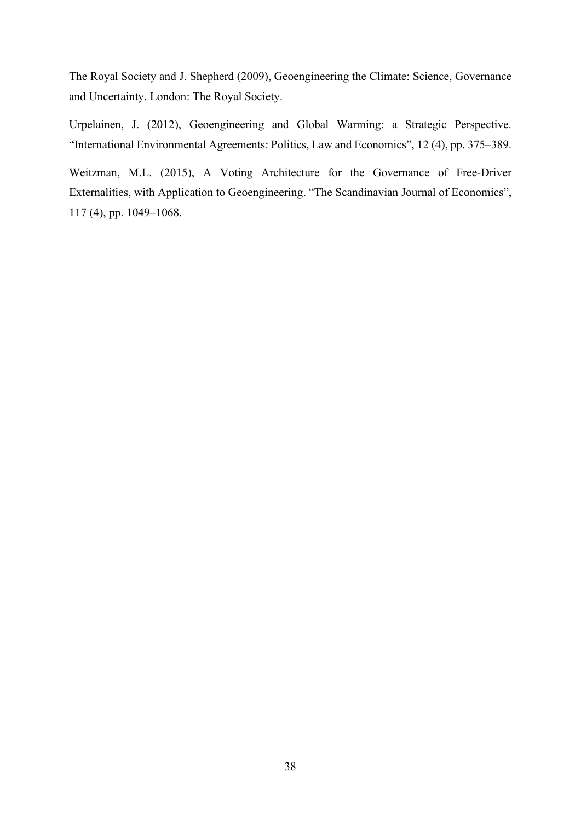The Royal Society and J. Shepherd (2009), Geoengineering the Climate: Science, Governance and Uncertainty. London: The Royal Society.

Urpelainen, J. (2012), Geoengineering and Global Warming: a Strategic Perspective. "International Environmental Agreements: Politics, Law and Economics", 12 (4), pp. 375–389.

Weitzman, M.L. (2015), A Voting Architecture for the Governance of Free-Driver Externalities, with Application to Geoengineering. "The Scandinavian Journal of Economics", 117 (4), pp. 1049–1068.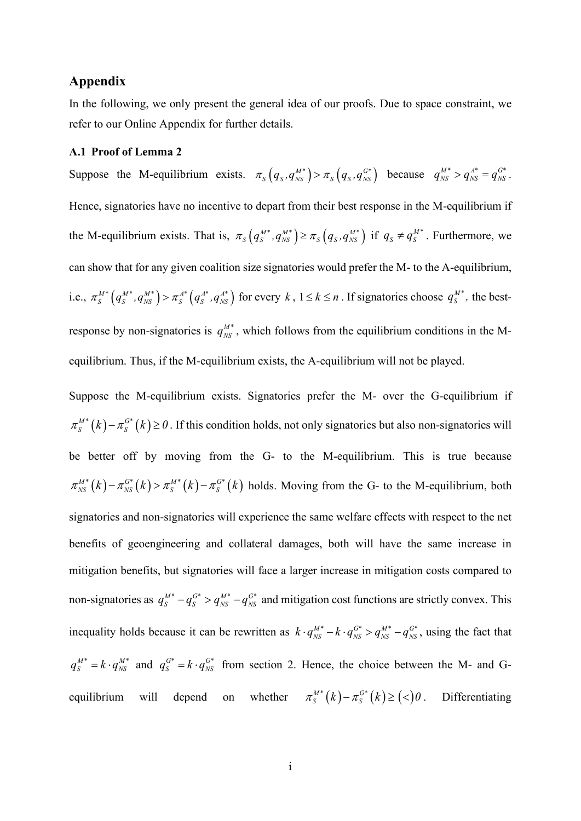## **Appendix**

In the following, we only present the general idea of our proofs. Due to space constraint, we refer to our Online Appendix for further details.

#### **A.1 Proof of Lemma 2**

Suppose the M-equilibrium exists.  $\pi_S(q_S, q_{NS}^{M*}) > \pi_S(q_S, q_{NS}^{G*})$  because  $q_{NS}^{M*} > q_{NS}^{A*} = q_{NS}^{G*}$ . Hence, signatories have no incentive to depart from their best response in the M-equilibrium if the M-equilibrium exists. That is,  $\pi_S(q_S^M, q_{NS}^M) \ge \pi_S(q_S, q_{NS}^M)$  if  $q_S \ne q_S^M$ . Furthermore, we can show that for any given coalition size signatories would prefer the M- to the A-equilibrium, i.e.,  $\pi_S^{M*} \left( q_S^{M*}, q_{NS}^{M*} \right) > \pi_S^{A*} \left( q_S^{A*}, q_{NS}^{A*} \right)$  for every  $k, 1 \le k \le n$ . If signatories choose  $q_S^{M*}$ , the bestresponse by non-signatories is  $q_{NS}^{M*}$ , which follows from the equilibrium conditions in the Mequilibrium. Thus, if the M-equilibrium exists, the A-equilibrium will not be played.

Suppose the M-equilibrium exists. Signatories prefer the M- over the G-equilibrium if  $\pi_S^{M*}(k) - \pi_S^{G*}(k) \ge 0$ . If this condition holds, not only signatories but also non-signatories will be better off by moving from the G- to the M-equilibrium. This is true because  $\pi_{NS}^{M*}(k) - \pi_{NS}^{G*}(k) > \pi_{S}^{M*}(k) - \pi_{S}^{G*}(k)$  holds. Moving from the G- to the M-equilibrium, both signatories and non-signatories will experience the same welfare effects with respect to the net benefits of geoengineering and collateral damages, both will have the same increase in mitigation benefits, but signatories will face a larger increase in mitigation costs compared to non-signatories as  $q_S^{M^*} - q_S^{G^*} > q_{NS}^{M^*} - q_{NS}^{G^*}$  and mitigation cost functions are strictly convex. This inequality holds because it can be rewritten as  $k \cdot q_{NS}^{M*} - k \cdot q_{NS}^{G*} > q_{NS}^{M*} - q_{NS}^{G*}$ , using the fact that  $q_S^{M^*} = k \cdot q_{NS}^{M^*}$  and  $q_S^{G^*} = k \cdot q_{NS}^{G^*}$  from section 2. Hence, the choice between the M- and Gequilibrium will depend on whether  $\pi_S^{M*}(k) - \pi_S^{G*}(k) \geq (\leq)0$ . Differentiating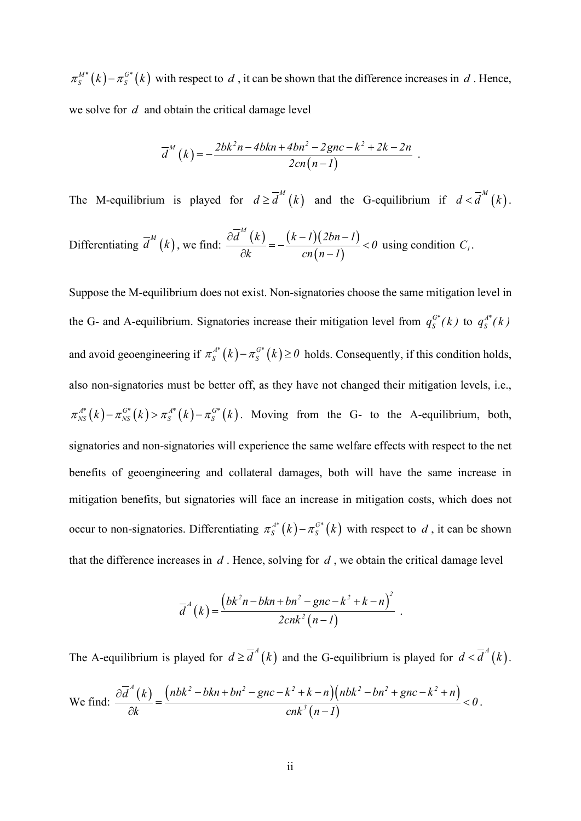$\pi_S^{M*}(k) - \pi_S^{G*}(k)$  with respect to *d*, it can be shown that the difference increases in *d*. Hence, we solve for *d* and obtain the critical damage level

$$
\overline{d}^M(k) = -\frac{2bk^2n - 4bkn + 4bn^2 - 2gnc - k^2 + 2k - 2n}{2cn(n-1)}.
$$

The M-equilibrium is played for  $d \ge d^{M}(k)$  and the G-equilibrium if  $d < d^{M}(k)$ . Differentiating  $\overline{d}^{M}(k)$ , we find:  $\frac{\partial d^{m}(k)}{\partial k} = -\frac{(k-1)(2bn-1)}{(k-1)(2bn)}$  $(n-1)$  $\overline{d}^M(k)$   $(k-l)(2bn-l)$ *0*  $k$  cn  $\left(n-1\right)$  $\frac{\partial d^{m}(k)}{\partial l} = -\frac{(k-l)(2bn-l)}{(l)!} <$  $\frac{d^{(n)}}{dt^{(n)}} = -\frac{d^{(n)}(1)}{dt^{(n)}(n-1)} < 0$  using condition  $C_1$ .

Suppose the M-equilibrium does not exist. Non-signatories choose the same mitigation level in the G- and A-equilibrium. Signatories increase their mitigation level from  $q_S^{G^*}(k)$  to  $q_S^{A^*}(k)$ and avoid geoengineering if  $\pi_S^{A^*}(k) - \pi_S^{G^*}(k) \ge 0$  holds. Consequently, if this condition holds, also non-signatories must be better off, as they have not changed their mitigation levels, i.e.,  $\pi_{NS}^{A^*}(k) - \pi_{NS}^{G^*}(k) > \pi_{S}^{A^*}(k) - \pi_{S}^{G^*}(k)$ . Moving from the G- to the A-equilibrium, both, signatories and non-signatories will experience the same welfare effects with respect to the net benefits of geoengineering and collateral damages, both will have the same increase in mitigation benefits, but signatories will face an increase in mitigation costs, which does not occur to non-signatories. Differentiating  $\pi_S^{A^*}(k) - \pi_S^{G^*}(k)$  with respect to *d*, it can be shown that the difference increases in *d* . Hence, solving for *d* , we obtain the critical damage level

$$
\overline{d}^A(k) = \frac{\left(bk^2n - bkn + bn^2 - gnc - k^2 + k - n\right)^2}{2cnk^2(n-1)}.
$$

The A-equilibrium is played for  $d \geq \overline{d}^A(k)$  and the G-equilibrium is played for  $d < \overline{d}^A(k)$ .

We find: 
$$
\frac{\partial \overline{d}^A(k)}{\partial k} = \frac{\left(nbk^2 - bkn + bn^2 - gnc - k^2 + k - n\right)\left(nbk^2 - bn^2 + gnc - k^2 + n\right)}{cnk^3(n-1)} < 0.
$$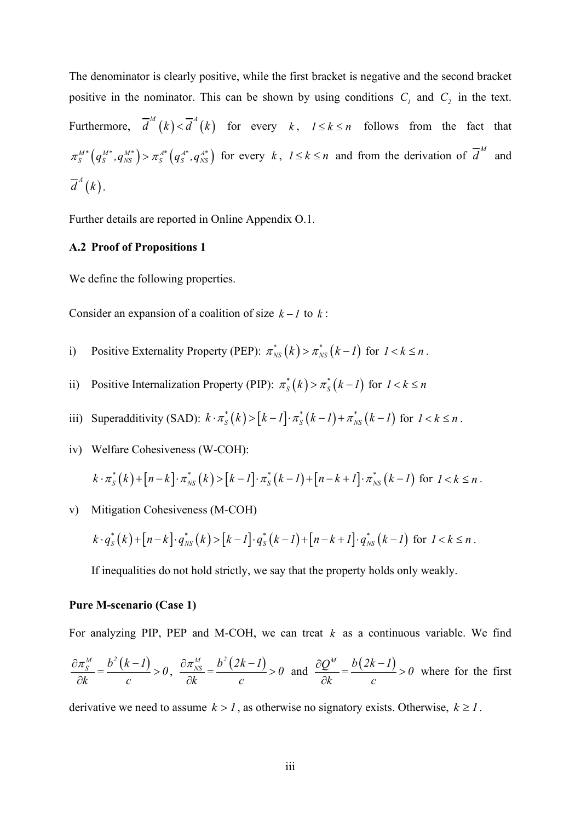The denominator is clearly positive, while the first bracket is negative and the second bracket positive in the nominator. This can be shown by using conditions  $C_1$  and  $C_2$  in the text. Furthermore,  $\overline{d}^{M}(k) < \overline{d}^{A}(k)$  for every  $k, l \le k \le n$  follows from the fact that  $\pi_S^{M^*}(q_S^{M^*}, q_{NS}^{M^*}) > \pi_S^{A^*}(q_S^{A^*}, q_{NS}^{A^*})$  for every k,  $1 \le k \le n$  and from the derivation of  $\overline{d}^M$  and  $\overline{d}^{\scriptscriptstyle A}(k)$  .

Further details are reported in Online Appendix O.1.

#### **A.2 Proof of Propositions 1**

We define the following properties.

Consider an expansion of a coalition of size  $k - l$  to  $k$ :

- i) Positive Externality Property (PEP):  $\pi_{NS}^*(k) > \pi_{NS}^*(k-1)$  for  $1 < k \leq n$ .
- ii) Positive Internalization Property (PIP):  $\pi_S^*(k) > \pi_S^*(k-1)$  for  $1 < k \leq n$
- iii) Superadditivity (SAD):  $k \cdot \pi_S^*(k) > [k-l] \cdot \pi_S^*(k-l) + \pi_{NS}^*(k-l)$  for  $l < k \leq n$ .
- iv) Welfare Cohesiveness (W-COH):

$$
k \cdot \pi_{S}^{*}(k) + [n-k] \cdot \pi_{NS}^{*}(k) > [k-l] \cdot \pi_{S}^{*}(k-l) + [n-k+l] \cdot \pi_{NS}^{*}(k-l) \text{ for } l < k \leq n.
$$

v) Mitigation Cohesiveness (M-COH)

$$
k \cdot q_{S}^{*}(k) + [n-k] \cdot q_{NS}^{*}(k) > [k-l] \cdot q_{S}^{*}(k-l) + [n-k+l] \cdot q_{NS}^{*}(k-l) \text{ for } l < k \leq n.
$$

If inequalities do not hold strictly, we say that the property holds only weakly.

#### **Pure M-scenario (Case 1)**

For analyzing PIP, PEP and M-COH, we can treat *k* as a continuous variable. We find

$$
\frac{\partial \pi_s^M}{\partial k} = \frac{b^2 (k-1)}{c} > 0, \quad \frac{\partial \pi_{\text{NS}}^M}{\partial k} = \frac{b^2 (2k-1)}{c} > 0 \quad \text{and} \quad \frac{\partial Q^M}{\partial k} = \frac{b (2k-1)}{c} > 0 \quad \text{where for the first}
$$

derivative we need to assume  $k > 1$ , as otherwise no signatory exists. Otherwise,  $k \ge 1$ .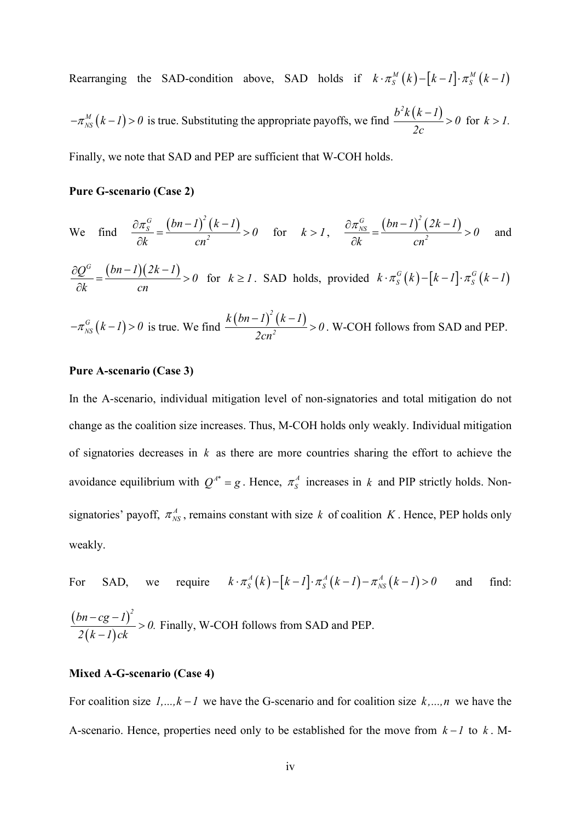Rearranging the SAD-condition above, SAD holds if  $k \cdot \pi_S^M(k) - [k-l] \cdot \pi_S^M(k-l)$ 

 $-\pi_{NS}^{M}(k-l) > 0$  is true. Substituting the appropriate payoffs, we find  $\frac{b^{2}k(k-l)}{2a} > 0$ *2c*  $\frac{-1}{\sqrt{2}} > 0$  for  $k > 1$ .

Finally, we note that SAD and PEP are sufficient that W-COH holds.

## **Pure G-scenario (Case 2)**

We find 
$$
\frac{\partial \pi_S^G}{\partial k} = \frac{(bn-1)^2 (k-1)}{cn^2} > 0
$$
 for  $k > 1$ ,  $\frac{\partial \pi_{NS}^G}{\partial k} = \frac{(bn-1)^2 (2k-1)}{cn^2} > 0$  and

$$
\frac{\partial Q^G}{\partial k} = \frac{(bn-1)(2k-1)}{cn} > 0 \quad \text{for} \quad k \ge 1. \text{ SAD holds, provided } k \cdot \pi_S^G(k) - [k-1] \cdot \pi_S^G(k-1)
$$

$$
-\pi_{NS}^{G}(k-l) > 0
$$
 is true. We find 
$$
\frac{k(bn-l)^{2}(k-l)}{2cn^{2}} > 0
$$
. W-COH follows from SAD and PEP.

#### **Pure A-scenario (Case 3)**

In the A-scenario, individual mitigation level of non-signatories and total mitigation do not change as the coalition size increases. Thus, M-COH holds only weakly. Individual mitigation of signatories decreases in *k* as there are more countries sharing the effort to achieve the avoidance equilibrium with  $Q^{A^*} = g$ . Hence,  $\pi_S^A$  increases in *k* and PIP strictly holds. Nonsignatories' payoff,  $\pi_{NS}^A$ , remains constant with size *k* of coalition *K*. Hence, PEP holds only weakly.

For SAD, we require  $k \cdot \pi_S^A(k) - [k-l] \cdot \pi_S^A(k-l) - \pi_{NS}^A(k-l) > 0$  and find:

$$
\frac{(bn - cg - 1)^2}{2(k - 1)ck} > 0.
$$
 Finally, W-COH follows from SAD and PEP.

#### **Mixed A-G-scenario (Case 4)**

For coalition size  $1, ..., k - 1$  we have the G-scenario and for coalition size  $k, ..., n$  we have the A-scenario. Hence, properties need only to be established for the move from  $k - 1$  to  $k$ . M-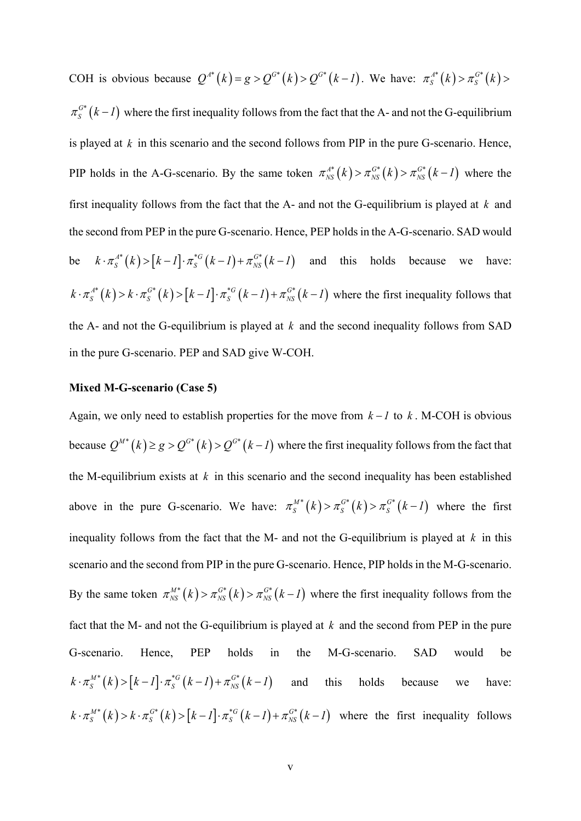COH is obvious because  $Q^{A^*}(k) = g > Q^{G^*}(k) > Q^{G^*}(k-1)$ . We have:  $\pi_S^{A^*}(k) > \pi_S^{G^*}(k) >$  $\pi_S^{G^*}(k-1)$  where the first inequality follows from the fact that the A- and not the G-equilibrium is played at *k* in this scenario and the second follows from PIP in the pure G-scenario. Hence, PIP holds in the A-G-scenario. By the same token  $\pi_{NS}^{A*}(k) > \pi_{NS}^{G*}(k) > \pi_{NS}^{G*}(k-1)$  where the first inequality follows from the fact that the A- and not the G-equilibrium is played at *k* and the second from PEP in the pure G-scenario. Hence, PEP holdsin the A-G-scenario. SAD would be  $k \cdot \pi_S^{A*}(k) > [k-1] \cdot \pi_S^{*G}(k-1) + \pi_{NS}^{G*}(k-1)$  and this holds because we have:  $k \cdot \pi_S^{A^*}(k) > k \cdot \pi_S^{G^*}(k) > [k-l] \cdot \pi_S^{G^*}(k-l) + \pi_{NS}^{G^*}(k-l)$  where the first inequality follows that the A- and not the G-equilibrium is played at  $k$  and the second inequality follows from SAD in the pure G-scenario. PEP and SAD give W-COH.

#### **Mixed M-G-scenario (Case 5)**

Again, we only need to establish properties for the move from  $k - l$  to  $k$ . M-COH is obvious because  $Q^{M*}(k) \ge g > Q^{G*}(k) > Q^{G*}(k-1)$  where the first inequality follows from the fact that the M-equilibrium exists at *k* in this scenario and the second inequality has been established above in the pure G-scenario. We have:  $\pi_S^{M*}(k) > \pi_S^{G*}(k) > \pi_S^{G*}(k-1)$  where the first inequality follows from the fact that the M- and not the G-equilibrium is played at *k* in this scenario and the second from PIP in the pure G-scenario. Hence, PIP holds in the M-G-scenario. By the same token  $\pi^{M*}_{NS}(k) > \pi^{G*}_{NS}(k) > \pi^{G*}_{NS}(k-1)$  where the first inequality follows from the fact that the M- and not the G-equilibrium is played at *k* and the second from PEP in the pure G-scenario. Hence, PEP holds in the M-G-scenario. SAD would be  $(k \cdot \pi_S^{M*}(k) > [k-l] \cdot \pi_S^{G*}(k-l) + \pi_{NS}^{G*}(k-l)$  and this holds because we have:  $k \cdot \pi_S^{M^*}(k) > k \cdot \pi_S^{G^*}(k) > [k-l] \cdot \pi_S^{G^*}(k-l) + \pi_{NS}^{G^*}(k-l)$  where the first inequality follows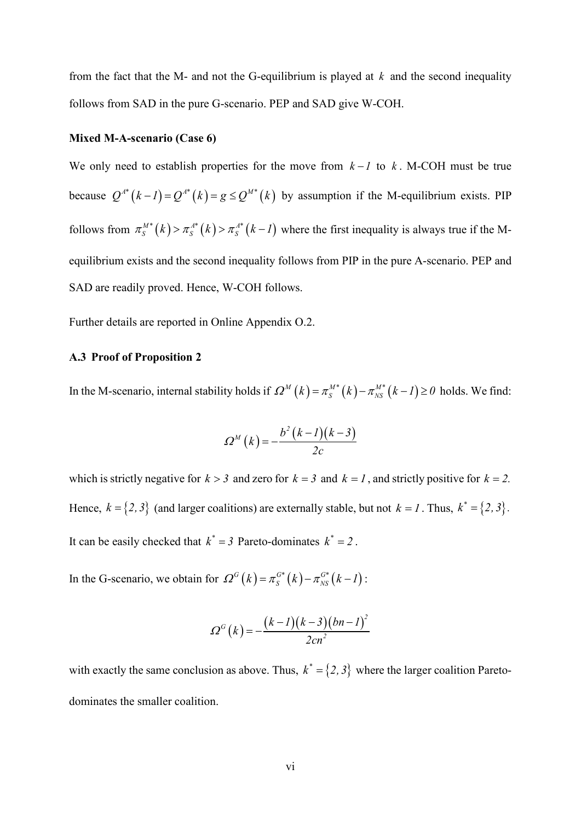from the fact that the M- and not the G-equilibrium is played at *k* and the second inequality follows from SAD in the pure G-scenario. PEP and SAD give W-COH.

## **Mixed M-A-scenario (Case 6)**

We only need to establish properties for the move from  $k - 1$  to k. M-COH must be true because  $Q^{A^*}(k - 1) = Q^{A^*}(k) = g \leq Q^{M^*}(k)$  by assumption if the M-equilibrium exists. PIP follows from  $\pi_S^{M*}(k) > \pi_S^{A*}(k) > \pi_S^{A*}(k-1)$  where the first inequality is always true if the Mequilibrium exists and the second inequality follows from PIP in the pure A-scenario. PEP and SAD are readily proved. Hence, W-COH follows.

Further details are reported in Online Appendix O.2.

## **A.3 Proof of Proposition 2**

In the M-scenario, internal stability holds if  $\Omega^M(k) = \pi_S^{M*}(k) - \pi_{NS}^{M*}(k-1) \ge 0$  holds. We find:

$$
\varOmega^M(k) = -\frac{b^2(k-1)(k-3)}{2c}
$$

which is strictly negative for  $k > 3$  and zero for  $k = 3$  and  $k = 1$ , and strictly positive for  $k = 2$ . Hence,  $k = \{2,3\}$  (and larger coalitions) are externally stable, but not  $k = 1$ . Thus,  $k^* = \{2,3\}$ . It can be easily checked that  $k^* = 3$  Pareto-dominates  $k^* = 2$ .

In the G-scenario, we obtain for  $\Omega^G(k) = \pi_S^{G*}(k) - \pi_{NS}^{G*}(k-1)$ :

$$
\Omega^G(k) = -\frac{(k-1)(k-3)(bn-1)^2}{2cn^2}
$$

with exactly the same conclusion as above. Thus,  $k^* = \{2, 3\}$  where the larger coalition Paretodominates the smaller coalition.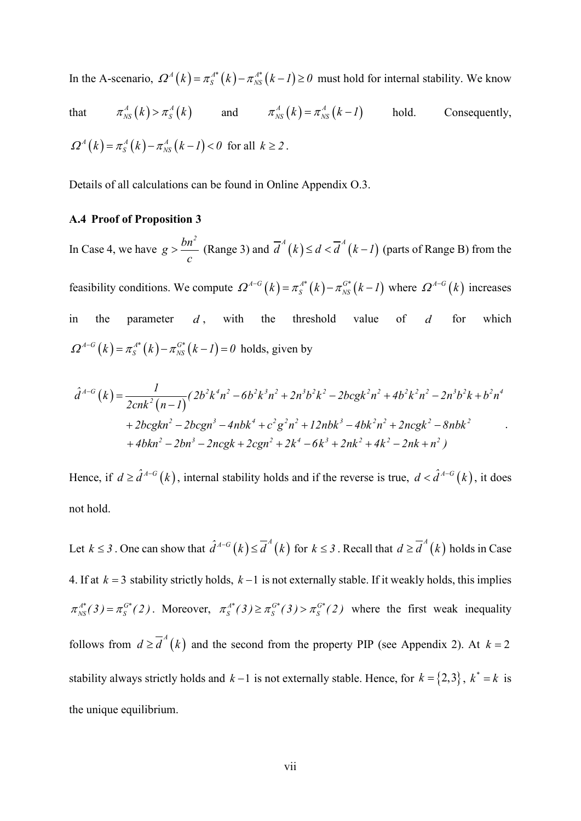In the A-scenario,  $\Omega^A(k) = \pi_S^{A*}(k) - \pi_{NS}^{A*}(k-1) \ge 0$  must hold for internal stability. We know  $A(f_L) = A(f_L - I)$  = **h**eal.

that 
$$
\pi_{NS}^A(k) > \pi_S^A(k)
$$
 and  $\pi_{NS}^A(k) = \pi_{NS}^A(k-1)$  hold. Consequently,  
\n
$$
\Omega^A(k) = \pi_S^A(k) - \pi_{NS}^A(k-1) < 0 \text{ for all } k \ge 2.
$$

Details of all calculations can be found in Online Appendix O.3.

## **A.4 Proof of Proposition 3**

In Case 4, we have  $g > \frac{bn^2}{a}$ *c*  $\geq \frac{bn^2}{2}$  (Range 3) and  $\overline{d}^A(k) \leq d < \overline{d}^A(k-1)$  (parts of Range B) from the feasibility conditions. We compute  $\Omega^{A-G}(k) = \pi_S^{A^*}(k) - \pi_{NS}^{G^*}(k-1)$  where  $\Omega^{A-G}(k)$  increases in the parameter *d*, with the threshold value of *d* for which  $\Omega^{A-G}(k) = \pi_S^{A^*}(k) - \pi_{_{NS}}^{G^*}(k-l) = 0$  holds, given by

$$
\hat{d}^{A-G}(k) = \frac{1}{2cnk^{2}(n-1)} \left(2b^{2}k^{4}n^{2} - 6b^{2}k^{3}n^{2} + 2n^{3}b^{2}k^{2} - 2bcgk^{2}n^{2} + 4b^{2}k^{2}n^{2} - 2n^{3}b^{2}k + b^{2}n^{4} + 2bcgkn^{2} - 2bcgn^{3} - 4nbk^{4} + c^{2}g^{2}n^{2} + 12nbk^{3} - 4bk^{2}n^{2} + 2ncgk^{2} - 8nbk^{2} + 4bkn^{2} - 2bn^{3} - 2ncgk + 2cgn^{2} + 2k^{4} - 6k^{3} + 2nk^{2} + 4k^{2} - 2nk + n^{2}\right)
$$

Hence, if  $d \ge \hat{d}^{A-G}(k)$ , internal stability holds and if the reverse is true,  $d < \hat{d}^{A-G}(k)$ , it does not hold.

Let *k* ≤ 3. One can show that  $\hat{d}^{A-G}(k)$  ≤  $\overline{d}^A(k)$  for *k* ≤ 3. Recall that  $d \geq \overline{d}^A(k)$  holds in Case 4. If at *k* = 3 stability strictly holds, *k* −1 is not externally stable. If it weakly holds, this implies  $\pi_{NS}^{A^*}(3) = \pi_S^{G^*}(2)$ . Moreover,  $\pi_S^{A^*}(3) \ge \pi_S^{G^*}(3) > \pi_S^{G^*}(2)$  where the first weak inequality follows from  $d \ge d^4(k)$  and the second from the property PIP (see Appendix 2). At  $k = 2$ stability always strictly holds and  $k-1$  is not externally stable. Hence, for  $k = \{2,3\}$ ,  $k^* = k$  is the unique equilibrium.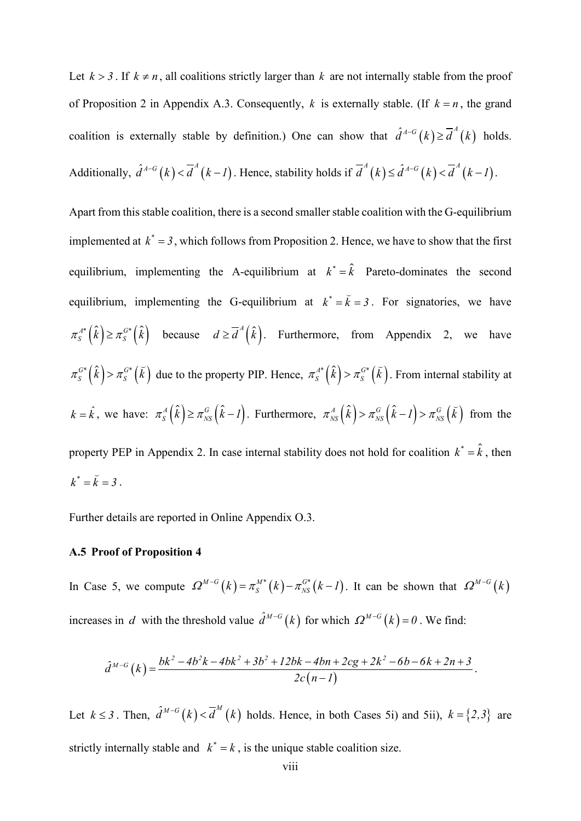Let  $k > 3$ . If  $k \neq n$ , all coalitions strictly larger than k are not internally stable from the proof of Proposition 2 in Appendix A.3. Consequently, *k* is externally stable. (If  $k = n$ , the grand coalition is externally stable by definition.) One can show that  $\hat{d}^{A-G}(k) \geq \overline{d}^{A}(k)$  holds. Additionally,  $\hat{d}^{A-G}(k) < \overline{d}^A(k-1)$ . Hence, stability holds if  $\overline{d}^A(k) \leq \hat{d}^{A-G}(k) < \overline{d}^A(k-1)$ .

Apart from this stable coalition, there is a second smaller stable coalition with the G-equilibrium implemented at  $k^* = 3$ , which follows from Proposition 2. Hence, we have to show that the first equilibrium, implementing the A-equilibrium at  $k^* = \hat{k}$  Pareto-dominates the second equilibrium, implementing the G-equilibrium at  $k^* = \overline{k} = 3$ . For signatories, we have  $\pi_s^{A^*}(\hat{k}) \ge \pi_s^{G^*}(\hat{k})$  because  $d \ge \overline{d}^A(\hat{k})$ . Furthermore, from Appendix 2, we have  $\pi_S^{G*}(\hat{k}) > \pi_S^{G*}(\check{k})$  due to the property PIP. Hence,  $\pi_S^{A*}(\hat{k}) > \pi_S^{G*}(\check{k})$ . From internal stability at  $k = \hat{k}$ , we have:  $\pi_s^A(\hat{k}) \ge \pi_{NS}^G(\hat{k} - 1)$ . Furthermore,  $\pi_{NS}^A(\hat{k}) > \pi_{NS}^G(\hat{k} - 1) > \pi_{NS}^G(\check{k})$  from the property PEP in Appendix 2. In case internal stability does not hold for coalition  $k^* = \hat{k}$ , then  $k^* = \breve{k} = 3$ .

Further details are reported in Online Appendix O.3.

## **A.5 Proof of Proposition 4**

In Case 5, we compute  $\Omega^{M-G}(k) = \pi_S^{M*}(k) - \pi_{NS}^{G*}(k-1)$ . It can be shown that  $\Omega^{M-G}(k)$ increases in *d* with the threshold value  $\hat{d}^{M-G}(k)$  for which  $\Omega^{M-G}(k) = 0$ . We find:

$$
\hat{d}^{M-G}(k) = \frac{bk^2 - 4b^2k - 4bk^2 + 3b^2 + 12bk - 4bn + 2cg + 2k^2 - 6b - 6k + 2n + 3}{2c(n-1)}.
$$

Let  $k \leq 3$ . Then,  $\hat{d}^{M-G}(k) < \overline{d}^M(k)$  holds. Hence, in both Cases 5i) and 5ii),  $k = \{2,3\}$  are strictly internally stable and  $k^* = k$ , is the unique stable coalition size.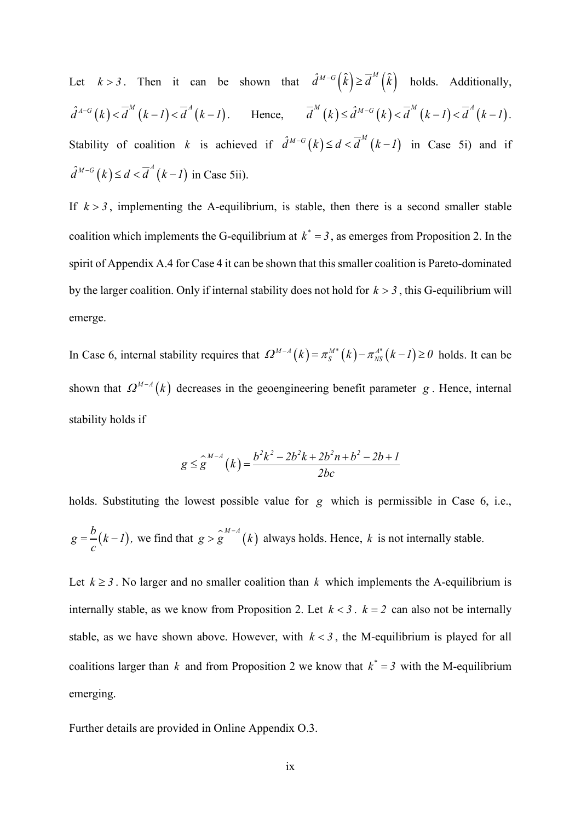Let  $k > 3$ . Then it can be shown that  $\hat{d}^{M-G}(\hat{k}) \ge \overline{d}^M(\hat{k})$  holds. Additionally,  $\hat{d}^{A-G}(k) < \overline{d}^{M}(k-1) < \overline{d}^{A}(k-1)$ . Hence,  $\overline{d}^{M}(k) \leq \hat{d}^{M-G}(k) < \overline{d}^{M}(k-1) < \overline{d}^{A}(k-1)$ . Stability of coalition *k* is achieved if  $\hat{d}^{M-G}(k) \leq d < \overline{d}^{M}(k-1)$  in Case 5i) and if  $\hat{d}^{M-G}(k) \leq d < \overline{d}^{A}(k-1)$  in Case 5ii).

If  $k > 3$ , implementing the A-equilibrium, is stable, then there is a second smaller stable coalition which implements the G-equilibrium at  $k^* = 3$ , as emerges from Proposition 2. In the spirit of Appendix A.4 for Case 4 it can be shown that this smaller coalition is Pareto-dominated by the larger coalition. Only if internal stability does not hold for  $k > 3$ , this G-equilibrium will emerge.

In Case 6, internal stability requires that  $\Omega^{M-A}(k) = \pi_S^{M*}(k) - \pi_{NS}^{A*}(k-1) \ge 0$  holds. It can be shown that  $Q^{M-A}(k)$  decreases in the geoengineering benefit parameter *g*. Hence, internal stability holds if

$$
g \leq \hat{g}^{M-A}(k) = \frac{b^2k^2 - 2b^2k + 2b^2n + b^2 - 2b + 1}{2bc}
$$

holds. Substituting the lowest possible value for *g* which is permissible in Case 6, i.e.,  $g = \frac{b}{c}(k-l)$ , we find that  $g > g^{M-A}(k)$  always holds. Hence, k is not internally stable.

Let  $k \geq 3$ . No larger and no smaller coalition than k which implements the A-equilibrium is internally stable, as we know from Proposition 2. Let  $k < 3$ .  $k = 2$  can also not be internally stable, as we have shown above. However, with  $k < 3$ , the M-equilibrium is played for all coalitions larger than *k* and from Proposition 2 we know that  $k^* = 3$  with the M-equilibrium emerging.

Further details are provided in Online Appendix O.3.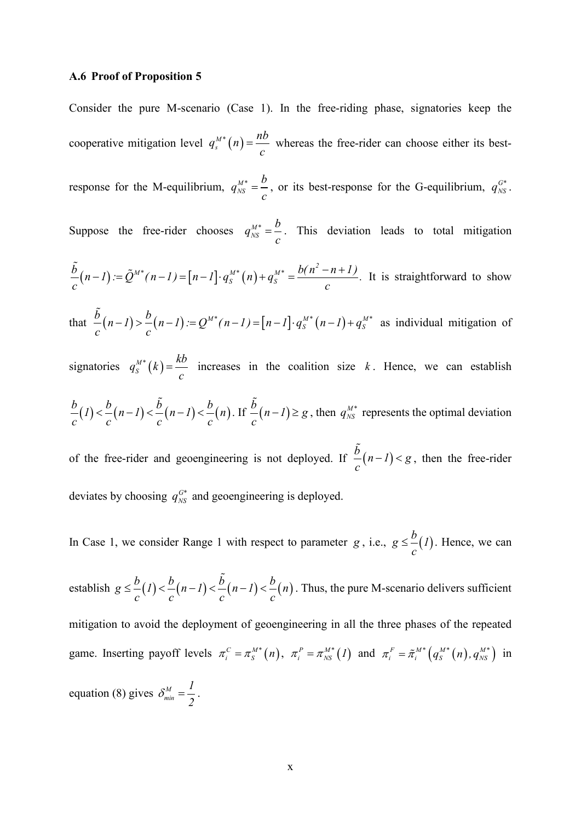#### **A.6 Proof of Proposition 5**

Consider the pure M-scenario (Case 1). In the free-riding phase, signatories keep the cooperative mitigation level  $q_s^{M*}(n)$  $q_s^{\mu^*}(n) = \frac{nb}{c}$  whereas the free-rider can choose either its bestresponse for the M-equilibrium,  $q_{NS}^{M*}$  $q_{NS}^{M^*} = \frac{b}{c}$ , or its best-response for the G-equilibrium,  $q_{NS}^{G^*}$ . Suppose the free-rider chooses  $q_{NS}^{M*}$  $q_{NS}^{M^*} = \frac{b}{c}$ . This deviation leads to total mitigation  $(n-1) := Q^{M^{*}}(n-1) = |n-1| \cdot q_S^{M^{*}}(n)$  $M^*$   $\mu$   $I = \begin{bmatrix} n & I \end{bmatrix} a^{M^*} \begin{bmatrix} n \\ I \end{bmatrix} + a^{M^*} = b(n^2)$  $\frac{\tilde{b}}{c}(n-1) := \tilde{Q}^{M^*}(n-1) = [n-1] \cdot q_s^{M^*}(n) + q_s^{M^*} = \frac{b(n^2 - n + 1)}{c}$ . It is straightforward to show that  $\frac{b}{2}(n-1) > \frac{b}{2}(n-1) := Q^{M*}(n-1) = [n-1] \cdot q_S^{M*}(n-1) + q_S^{M*}$  $c \qquad c \qquad c$  $-\tilde{\phi}_-(n-l) > -\frac{b}{2}(n-l) = Q^{M^*}(n-l) = [n-l] \cdot q_S^{M^*}(n-l) + q_S^{M^*}$  as individual mitigation of signatories  $q_s^{M*}(k) = \frac{kb}{c}$  increases in the coalition size *k*. Hence, we can establish  $\frac{b}{a}(1) < \frac{b}{a}(n-1) < \frac{b}{a}(n-1) < \frac{b}{a}(n)$  $c^{(n)}$  *c*<sup>(*c*)</sup> *c*<sup>(*c*)</sup> *c*  $\lt < \frac{b}{2}(n-1) < \frac{\tilde{b}}{2}(n-1) < \frac{b}{2}(n)$ . If  $\frac{\tilde{b}}{2}(n-1) \ge g$ *c*  $\sum_{n=0}^{\infty} (n-1) \geq g$ , then  $q_{NS}^{M*}$  represents the optimal deviation of the free-rider and geoengineering is not deployed. If  $\frac{b}{-}(n-1) < g$ *c*  $\tilde{\phi}_-(n-l) < g$ , then the free-rider deviates by choosing  $q_{NS}^{G^*}$  and geoengineering is deployed.

In Case 1, we consider Range 1 with respect to parameter  $g$ , i.e.,  $g \leq \frac{b}{l}$  *f* 1 *c*  $\leq$  –(1). Hence, we can

establish  $g \leq \frac{b}{b} (1) < \frac{b}{b} (n-1) < \frac{b}{b} (n-1) < \frac{b}{b} (n)$  $c^{(n)}$  c<sup>k</sup> c<sup>k</sup> c<sup>k</sup> c  $\leq \frac{b}{-1}$   $\leq$   $\leq$   $\leq$   $(n-1)$   $\leq$   $\frac{b}{-1}$   $(n-1)$   $\leq$   $\frac{b}{-1}$   $(n)$ . Thus, the pure M-scenario delivers sufficient mitigation to avoid the deployment of geoengineering in all the three phases of the repeated game. Inserting payoff levels  $\pi_i^C = \pi_i^{M*}(n)$ ,  $\pi_i^P = \pi_{NS}^{M*}(1)$  and  $\pi_i^F = \tilde{\pi}_i^{M*}(q_S^{M*}(n), q_{NS}^{M*})$  in equation (8) gives  $\delta_{min}^M$ *1 2*  $\delta_{min}^M = \frac{1}{2}$ .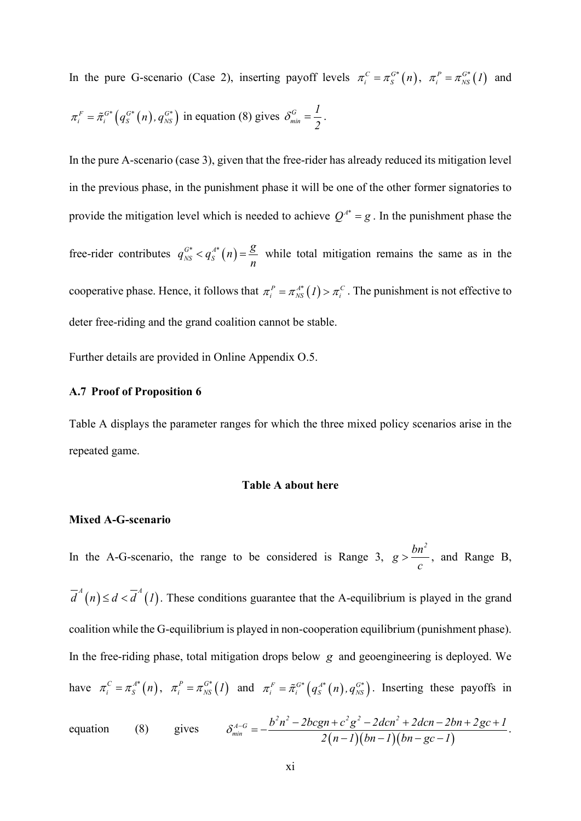In the pure G-scenario (Case 2), inserting payoff levels  $\pi_i^C = \pi_S^{G*}(n)$ ,  $\pi_i^P = \pi_{NS}^{G*}(1)$  and  $\pi_i^F = \tilde{\pi}_i^{G*} \left( q_S^{G*} \left( n \right), q_{NS}^{G*} \right)$  in equation (8) gives  $\delta_{min}^G$ *1 2*  $\delta_{min}^G = \frac{1}{2}.$ 

In the pure A-scenario (case 3), given that the free-rider has already reduced its mitigation level in the previous phase, in the punishment phase it will be one of the other former signatories to provide the mitigation level which is needed to achieve  $Q^{A^*} = g$ . In the punishment phase the free-rider contributes  $q_{NS}^{G^*} < q_S^{A^*}(n) = \frac{g}{n}$ *n*  $\langle q_s^{A^*}(n) = \frac{6}{\pi}$  while total mitigation remains the same as in the cooperative phase. Hence, it follows that  $\pi_i^P = \pi_{NS}^{A^*}(I) > \pi_i^C$ . The punishment is not effective to deter free-riding and the grand coalition cannot be stable.

Further details are provided in Online Appendix O.5.

#### **A.7 Proof of Proposition 6**

Table A displays the parameter ranges for which the three mixed policy scenarios arise in the repeated game.

#### **Table A about here**

#### **Mixed A-G-scenario**

In the A-G-scenario, the range to be considered is Range 3,  $g > \frac{bn^2}{b}$ *c*  $> \frac{6h}{m}$ , and Range B,  $\overline{d}^A(n) \leq d < \overline{d}^A(1)$ . These conditions guarantee that the A-equilibrium is played in the grand coalition while the G-equilibrium is played in non-cooperation equilibrium (punishment phase). In the free-riding phase, total mitigation drops below *g* and geoengineering is deployed. We have  $\pi_i^C = \pi_s^{A^*}(n)$ ,  $\pi_i^P = \pi_{NS}^{G^*}(I)$  and  $\pi_i^F = \tilde{\pi}_i^{G^*}(q_s^{A^*}(n), q_{NS}^{G^*})$ . Inserting these payoffs in  $\lambda$   $\mu^2$   $2h$   $\alpha$   $\mu$   $\mu^2$   $\alpha^2$   $2d$   $\alpha$   $\mu^2$ 

equation (8) gives 
$$
\delta_{\min}^{A-G} = -\frac{b^2n^2 - 2bcgn + c^2g^2 - 2dcn^2 + 2dcn - 2bn + 2gc + 1}{2(n-1)(bn - 1)(bn - gc - 1)}.
$$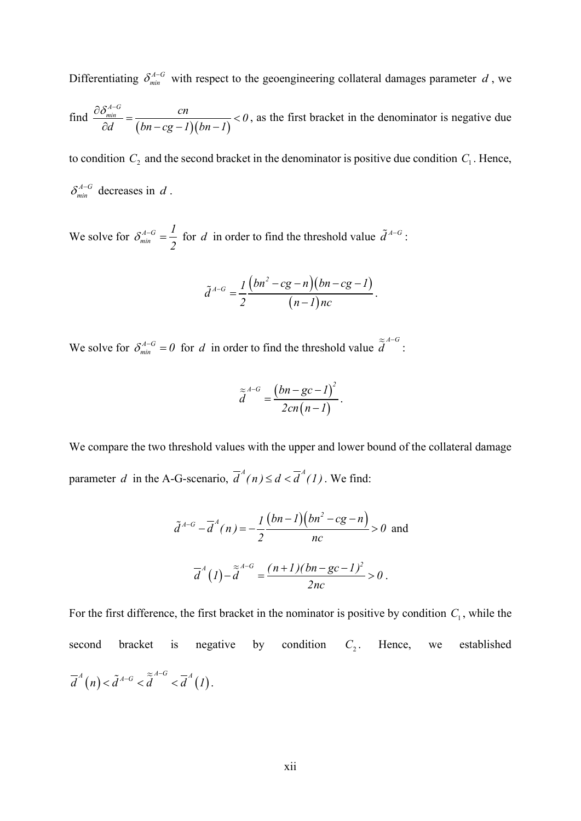Differentiating  $\delta_{min}^{A-G}$  with respect to the geoengineering collateral damages parameter *d*, we

find 
$$
\frac{\partial \delta_{\min}^{A-G}}{\partial d} = \frac{cn}{(bn - cg - 1)(bn - 1)} < 0
$$
, as the first bracket in the denominator is negative due

to condition  $C_2$  and the second bracket in the denominator is positive due condition  $C_1$ . Hence,  $\delta_{\min}^{A-G}$  decreases in *d*.

We solve for  $\delta_{\min}^{A-G}$ *1 2*  $\delta_{\min}^{A-G} = \frac{I}{2}$  for *d* in order to find the threshold value  $\tilde{d}^{A-G}$ :

$$
\tilde{d}^{A-G}=\frac{1}{2}\frac{\left(bn^2-cg-n\right)\left(bn-cg-1\right)}{(n-1)nc}.
$$

We solve for  $\delta_{min}^{A-G} = 0$  for *d* in order to find the threshold value  $\tilde{\tilde{d}}^{A-G}$ :

$$
\widetilde{\widetilde{d}}^{A-G}=\frac{\big(bn-gc-l\big)^2}{2cn(n-l)}.
$$

We compare the two threshold values with the upper and lower bound of the collateral damage parameter *d* in the A-G-scenario,  $\overline{d}^A(n) \leq d < \overline{d}^A(1)$ . We find:

$$
\tilde{d}^{A-G} - \overline{d}^{A}(n) = -\frac{1}{2} \frac{(bn-1)(bn^{2} - cg - n)}{nc} > 0 \text{ and}
$$

$$
\overline{d}^{A}(1) - \tilde{d}^{A-G} = \frac{(n+1)(bn - gc - 1)^{2}}{2nc} > 0.
$$

For the first difference, the first bracket in the nominator is positive by condition  $C_1$ , while the second bracket is negative by condition  $C_2$ . Hence, we established  $\overline{d}^A(n) < \tilde{d}^{A-G} < \tilde{\tilde{d}}^{A-G} < \overline{d}^A(1).$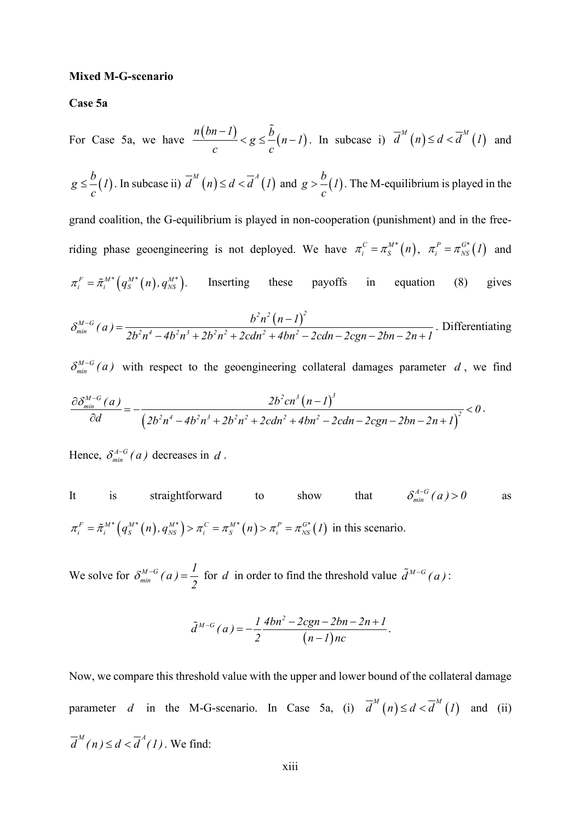## **Mixed M-G-scenario**

**Case 5a**

For Case 5a, we have 
$$
\frac{n(bn-1)}{c} < g \leq \frac{\tilde{b}}{c}(n-1)
$$
. In subcase i)  $\overline{d}^M(n) \leq d < \overline{d}^M(1)$  and  $g \leq \frac{b}{c}(1)$ . In subcase ii)  $\overline{d}^M(n) \leq d < \overline{d}^A(1)$  and  $g > \frac{b}{c}(1)$ . The M-equilibrium is played in the grand coalition, the G-equilibrium is played in non-cooperation (punishment) and in the free-  
riding phase geocengineering is not deployed. We have  $\pi_i^c = \pi_i^{M*}(n)$ ,  $\pi_i^p = \pi_{NS}^{G*}(1)$  and  $\pi_i^r = \tilde{\pi}_i^{M*}(q_s^{M*}(n), q_{NS}^{M*})$ . Inserting these payoffs in equation (8) gives  $\delta_{min}^{M-G}(a) = \frac{b^2n^2(n-1)^2}{2b^2n^4 - 4b^2n^3 + 2b^2n^2 + 2cdn^2 + 4bn^2 - 2cdn - 2cgn - 2bn - 2n + 1}$ . Differentiating  $\delta_{min}^{M-G}(a)$  with respect to the geocengineering collateral damages parameter  $d$ , we find  $\delta_{min}^{M-G}(a)$ 

$$
\frac{\partial \delta_{\min}^{M-G}(a)}{\partial d} = -\frac{2b^2 cn^3 (n-1)^3}{\left(2b^2 n^4 - 4b^2 n^3 + 2b^2 n^2 + 2cdn^2 + 4bn^2 - 2cdn - 2cgn - 2bn - 2n + 1\right)^2} < 0.
$$

Hence,  $\delta_{min}^{A-G}(a)$  decreases in *d*.

It is straightforward to show that 
$$
\delta_{\min}^{A-G}(a) > 0
$$
 as  
\n
$$
\pi_i^F = \tilde{\pi}_i^{M*} (q_s^{M*}(n), q_{NS}^{M*}) > \pi_i^C = \pi_S^{M*}(n) > \pi_i^P = \pi_{NS}^{G*}(I)
$$
in this scenario.

We solve for  $\delta_{\min}^{M-G}(a) = \frac{1}{2}$  for *d* in order to find the threshold value  $\tilde{d}^{M-G}(a)$ :

$$
\tilde{d}^{M-G}(a) = -\frac{1}{2} \frac{4bn^2 - 2cgn - 2bn - 2n + 1}{(n-1)nc}.
$$

Now, we compare this threshold value with the upper and lower bound of the collateral damage parameter *d* in the M-G-scenario. In Case 5a, (i)  $\overline{d}^{M}(n) \leq d < \overline{d}^{M}(1)$  and (ii)  $\overline{d}^M(n) \leq d < \overline{d}^A(1)$ . We find: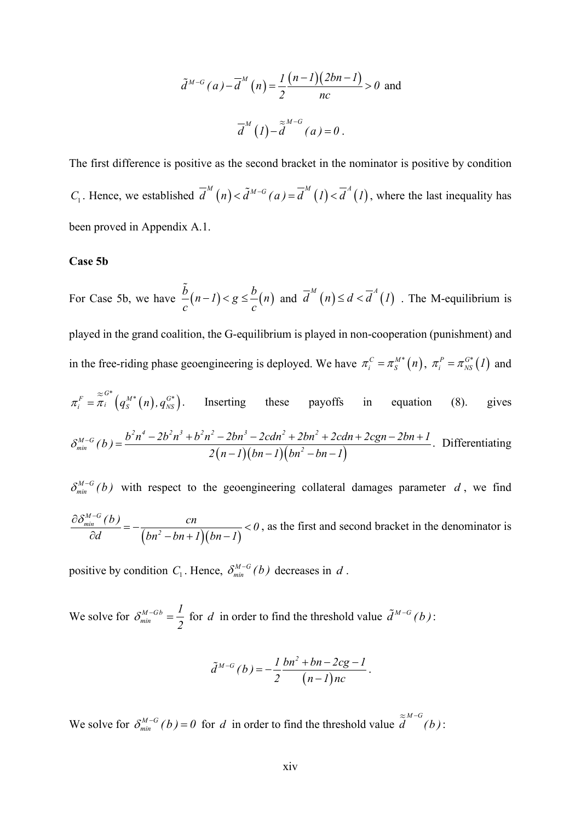$$
\tilde{d}^{M-G}(a) - \overline{d}^M(n) = \frac{1}{2} \frac{(n-1)(2bn-1)}{nc} > 0 \text{ and}
$$

$$
\overline{d}^M(1) - \tilde{d}^{M-G}(a) = 0.
$$

The first difference is positive as the second bracket in the nominator is positive by condition *C*<sub>1</sub>. Hence, we established  $\overline{d}^M(n) < \overline{d}^{M-G}(a) = \overline{d}^M(1) < \overline{d}^A(1)$ , where the last inequality has been proved in Appendix A.1.

#### **Case 5b**

For Case 5b, we have  $\frac{b}{a} (n-1) < g \le \frac{b}{a} (n)$ *c c*  $\tilde{b}(n-1) < g \leq \frac{b}{n}$  and  $\overline{d}^M(n) \leq d < \overline{d}^A(1)$ . The M-equilibrium is played in the grand coalition, the G-equilibrium is played in non-cooperation (punishment) and in the free-riding phase geoengineering is deployed. We have  $\pi_i^C = \pi_S^{M*}(n)$ ,  $\pi_i^P = \pi_{NS}^{G*}(1)$  and  $\pi_i^F = \frac{Z^{G^*}}{\pi_i} \left( q_S^{M^*}(n), q_{NS}^{G^*} \right)$ . Inserting these payoffs in equation (8). gives  $(n-1)(bn-1)(bn^2 - bn - 1)$  $b^2n^4 - 2b^2n^3 + b^2n^2 - 2bn^3 - 2cah^2 + 2bn^2$  $\delta_{min}^{M-G}(b) = \frac{b^2n^4 - 2b^2n^3 + b^2n^2 - 2bn^3 - 2cdn^2 + 2bn^2 + 2cdn + 2cgn - 2bn + 1}{2(n-1)(bn-1)(bn^2 - bn - 1)}$ . Differentiating  $\delta_{min}^{M-G}(b)$  with respect to the geoengineering collateral damages parameter *d*, we find *M G*

 $(bn^2 - bn + 1)(bn - 1)$ *min*  $\frac{(b)}{2} = -\frac{cn}{(bx^2 - bx + 1)(bx - 1)} < 0$ *d*  $(bn^2 - bn + 1)(bn - 1)$  $\frac{\partial \delta_{\min}^{M-G}(b)}{\partial \delta_{\min}^{M-G}(c)} = -\frac{cn}{(c_1 + c_2 + c_3 + c_4)}$  $\frac{\partial u}{\partial d} = -\frac{c_0}{(bn^2 - bn + 1)(bn - 1)} < 0$ , as the first and second bracket in the denominator is

positive by condition  $C_1$ . Hence,  $\delta_{min}^{M-G}(b)$  decreases in *d*.

We solve for  $\delta_{\min}^{M-Gb}$ *1 2*  $\delta_{\min}^{M-Gb} = \frac{1}{2}$  for *d* in order to find the threshold value  $\tilde{d}^{M-G}(b)$ :

$$
\tilde{d}^{M-G}(b) = -\frac{1}{2} \frac{bn^2 + bn - 2cg - l}{(n-l)nc}.
$$

We solve for  $\delta_{min}^{M-G}(b) = 0$  for *d* in order to find the threshold value  $\tilde{d}^{M-G}(b)$ :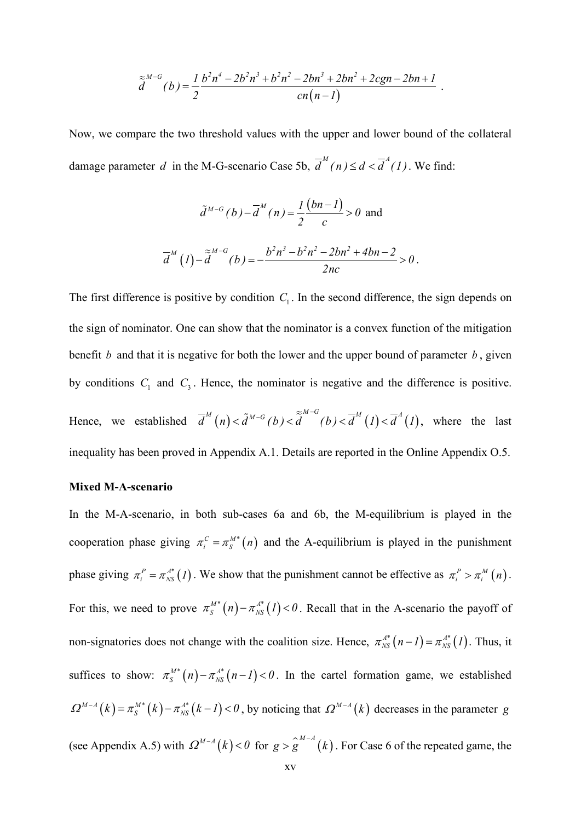$$
\tilde{a}^{M-G}(b) = \frac{1}{2} \frac{b^2 n^4 - 2b^2 n^3 + b^2 n^2 - 2b n^3 + 2b n^2 + 2cgn - 2bn + 1}{cn(n-1)}.
$$

Now, we compare the two threshold values with the upper and lower bound of the collateral damage parameter *d* in the M-G-scenario Case 5b,  $\overline{d}^M(n) \leq d < \overline{d}^A(1)$ . We find:

$$
\tilde{d}^{M-G}(b) - \overline{d}^{M}(n) = \frac{1}{2} \frac{(bn-1)}{c} > 0 \text{ and}
$$

$$
\overline{d}^{M}(1) - \tilde{d}^{M-G}(b) = -\frac{b^{2}n^{3} - b^{2}n^{2} - 2bn^{2} + 4bn - 2}{2nc} > 0.
$$

The first difference is positive by condition  $C_1$ . In the second difference, the sign depends on the sign of nominator. One can show that the nominator is a convex function of the mitigation benefit *b* and that it is negative for both the lower and the upper bound of parameter *b*, given by conditions  $C_1$  and  $C_3$ . Hence, the nominator is negative and the difference is positive. Hence, we established  $\overline{d}^{M}(n) < \tilde{d}^{M-G}(b) < \tilde{d}^{M-G}(b) < \overline{d}^{M}(1) < \overline{d}^{A}(1)$ , where the last inequality has been proved in Appendix A.1. Details are reported in the Online Appendix O.5.

#### **Mixed M-A-scenario**

In the M-A-scenario, in both sub-cases 6a and 6b, the M-equilibrium is played in the cooperation phase giving  $\pi_i^C = \pi_j^{M*}(n)$  and the A-equilibrium is played in the punishment phase giving  $\pi_i^P = \pi_{NS}^{A^*}(I)$ . We show that the punishment cannot be effective as  $\pi_i^P > \pi_i^M(n)$ . For this, we need to prove  $\pi_S^{M*}(n) - \pi_{NS}^{A*}(1) < 0$ . Recall that in the A-scenario the payoff of non-signatories does not change with the coalition size. Hence,  $\pi_{NS}^{A^*}(n-1) = \pi_{NS}^{A^*}(1)$ . Thus, it suffices to show:  $\pi_S^{M*}(n) - \pi_{NS}^{A*}(n-1) < 0$ . In the cartel formation game, we established  $\Omega^{M-A}(k) = \pi_S^{M*}(k) - \pi_{NS}^{A*}(k-1) < 0$ , by noticing that  $\Omega^{M-A}(k)$  decreases in the parameter *g* (see Appendix A.5) with  $\Omega^{M-A}(k) < 0$  for  $g > g^{M-A}(k)$ . For Case 6 of the repeated game, the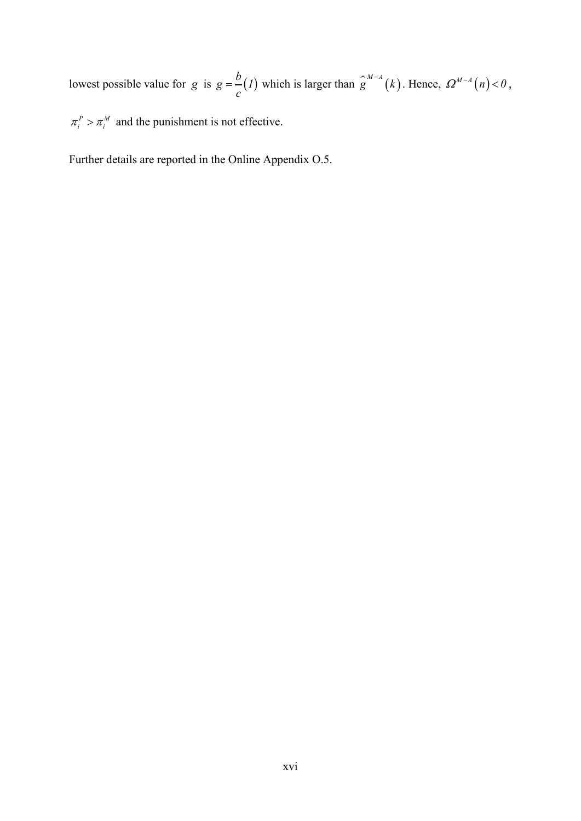lowest possible value for *g* is  $g = \frac{b}{c}(I)$  which is larger than  $\hat{g}^{M-A}(k)$ . Hence,  $\Omega^{M-A}(n) < 0$ ,

 $\pi_i^P > \pi_i^M$  and the punishment is not effective.

Further details are reported in the Online Appendix O.5.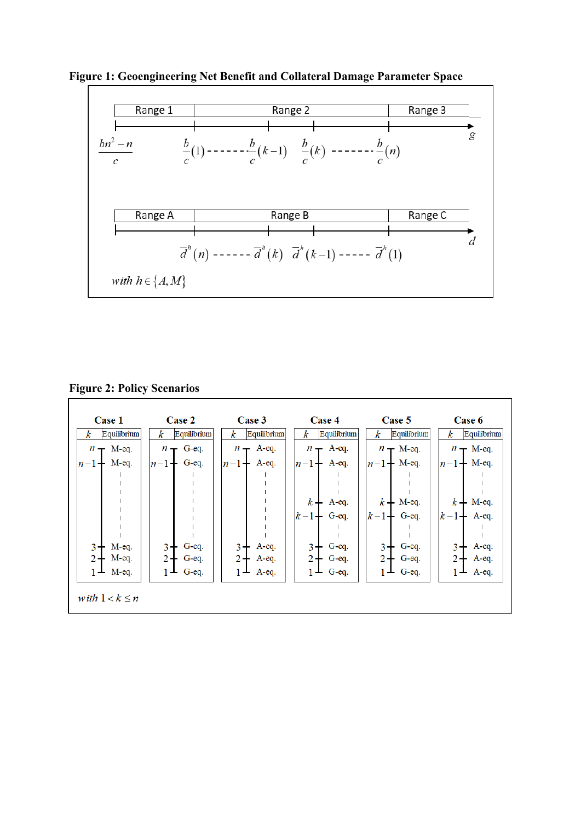**Figure 1: Geoengineering Net Benefit and Collateral Damage Parameter Space**



**Figure 2: Policy Scenarios**

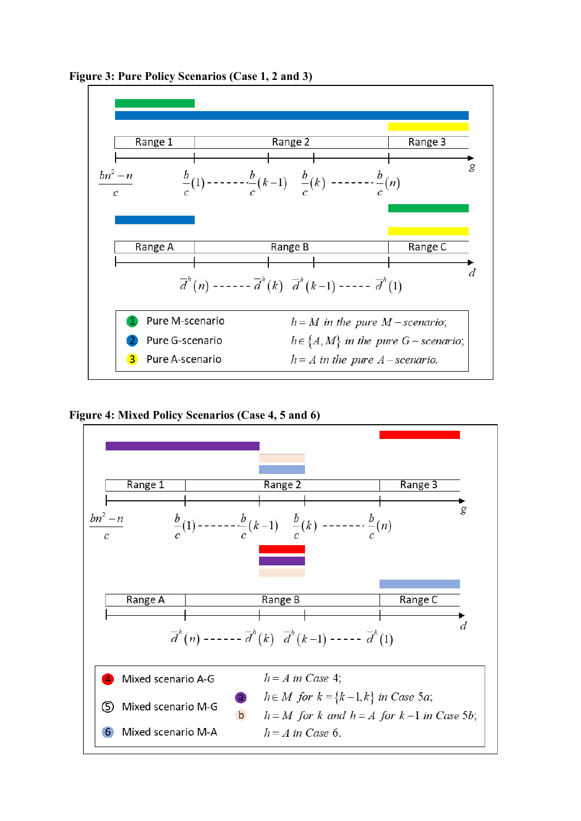

**Figure 3: Pure Policy Scenarios (Case 1, 2 and 3)**



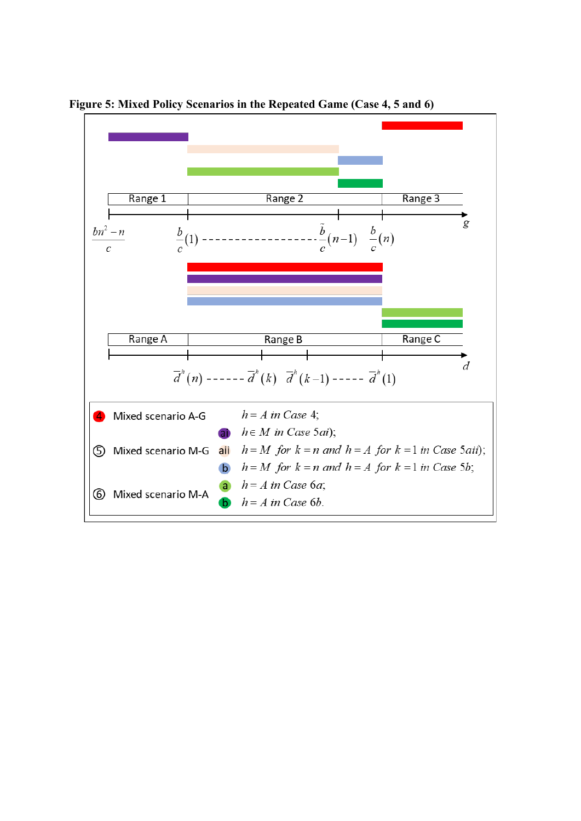

**Figure 5: Mixed Policy Scenarios in the Repeated Game (Case 4, 5 and 6)**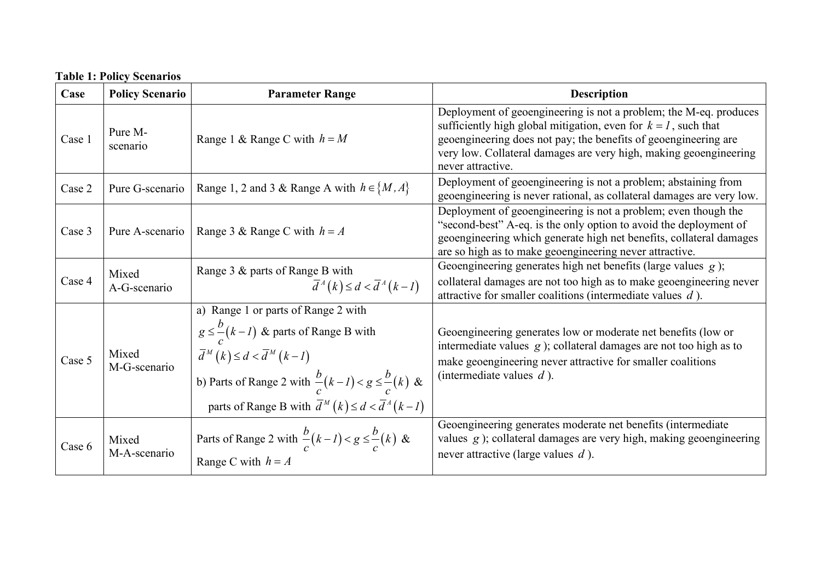## **Table 1: Policy Scenarios**

| Case   | <b>Policy Scenario</b> | <b>Parameter Range</b>                                                                                                                                                                                                                                                                          | <b>Description</b>                                                                                                                                                                                                                                                                                  |
|--------|------------------------|-------------------------------------------------------------------------------------------------------------------------------------------------------------------------------------------------------------------------------------------------------------------------------------------------|-----------------------------------------------------------------------------------------------------------------------------------------------------------------------------------------------------------------------------------------------------------------------------------------------------|
| Case 1 | Pure M-<br>scenario    | Range 1 & Range C with $h = M$                                                                                                                                                                                                                                                                  | Deployment of geoengineering is not a problem; the M-eq. produces<br>sufficiently high global mitigation, even for $k = 1$ , such that<br>geoengineering does not pay; the benefits of geoengineering are<br>very low. Collateral damages are very high, making geoengineering<br>never attractive. |
| Case 2 | Pure G-scenario        | Range 1, 2 and 3 & Range A with $h \in \{M, A\}$                                                                                                                                                                                                                                                | Deployment of geoengineering is not a problem; abstaining from<br>geoengineering is never rational, as collateral damages are very low.                                                                                                                                                             |
| Case 3 | Pure A-scenario        | Range 3 & Range C with $h = A$                                                                                                                                                                                                                                                                  | Deployment of geoengineering is not a problem; even though the<br>"second-best" A-eq. is the only option to avoid the deployment of<br>geoengineering which generate high net benefits, collateral damages<br>are so high as to make geoengineering never attractive.                               |
| Case 4 | Mixed<br>A-G-scenario  | Range 3 & parts of Range B with<br>$\overline{d}^A(k) \leq d < \overline{d}^A(k-1)$                                                                                                                                                                                                             | Geoengineering generates high net benefits (large values $g$ );<br>collateral damages are not too high as to make geoengineering never<br>attractive for smaller coalitions (intermediate values $d$ ).                                                                                             |
| Case 5 | Mixed<br>M-G-scenario  | a) Range 1 or parts of Range 2 with<br>$g \leq \frac{b}{c}(k-l)$ & parts of Range B with<br>$\overline{d}^M(k) \leq d < \overline{d}^M(k-1)$<br>b) Parts of Range 2 with $\frac{b}{c}(k-l) < g \leq \frac{b}{c}(k)$ &<br>parts of Range B with $\overline{d}^M(k) \leq d < \overline{d}^A(k-1)$ | Geoengineering generates low or moderate net benefits (low or<br>intermediate values $g$ ); collateral damages are not too high as to<br>make geoengineering never attractive for smaller coalitions<br>(intermediate values $d$ ).                                                                 |
| Case 6 | Mixed<br>M-A-scenario  | Parts of Range 2 with $\frac{b}{c}(k-l) < g \leq \frac{b}{c}(k)$ &<br>Range C with $h = A$                                                                                                                                                                                                      | Geoengineering generates moderate net benefits (intermediate<br>values $g$ ); collateral damages are very high, making geoengineering<br>never attractive (large values $d$ ).                                                                                                                      |